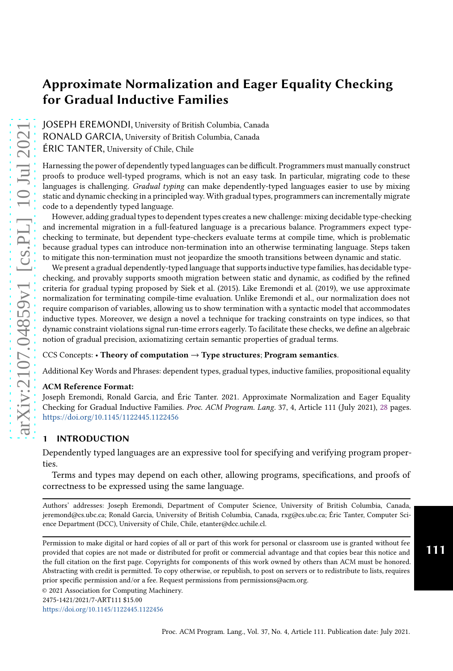JOSEPH EREMONDI, University of British Columbia, Canada RONALD GARCIA, University of British Columbia, Canada ÉRIC TANTER, University of Chile, Chile

Harnessing the power of dependently typed languages can be difficult. Programmers must manually construct proofs to produce well-typed programs, which is not an easy task. In particular, migrating code to these languages is challenging. Gradual typing can make dependently-typed languages easier to use by mixing static and dynamic checking in a principled way. With gradual types, programmers can incrementally migrate code to a dependently typed language.

However, adding gradual types to dependent types creates a new challenge: mixing decidable type-checking and incremental migration in a full-featured language is a precarious balance. Programmers expect typechecking to terminate, but dependent type-checkers evaluate terms at compile time, which is problematic because gradual types can introduce non-termination into an otherwise terminating language. Steps taken to mitigate this non-termination must not jeopardize the smooth transitions between dynamic and static.

We present a gradual dependently-typed language that supports inductive type families, has decidable typechecking, and provably supports smooth migration between static and dynamic, as codified by the refined criteria for gradual typing proposed by Siek et al. (2015). Like Eremondi et al. (2019), we use approximate normalization for terminating compile-time evaluation. Unlike Eremondi et al., our normalization does not require comparison of variables, allowing us to show termination with a syntactic model that accommodates inductive types. Moreover, we design a novel a technique for tracking constraints on type indices, so that dynamic constraint violations signal run-time errors eagerly. To facilitate these checks, we define an algebraic notion of gradual precision, axiomatizing certain semantic properties of gradual terms.

#### CCS Concepts: • Theory of computation  $\rightarrow$  Type structures; Program semantics.

Additional Key Words and Phrases: dependent types, gradual types, inductive families, propositional equality

#### ACM Reference Format:

Joseph Eremondi, Ronald Garcia, and Éric Tanter. 2021. Approximate Normalization and Eager Equality Checking for Gradual Inductive Families. Proc. ACM Program. Lang. 37, 4, Article 111 (July 2021), [28](#page-27-0) pages. <https://doi.org/10.1145/1122445.1122456>

## <span id="page-0-0"></span>**INTRODUCTION**

Dependently typed languages are an expressive tool for specifying and verifying program properties.

Terms and types may depend on each other, allowing programs, specifications, and proofs of correctness to be expressed using the same language.

Authors' addresses: Joseph Eremondi, Department of Computer Science, University of British Columbia, Canada, jeremond@cs.ubc.ca; Ronald Garcia, University of British Columbia, Canada, rxg@cs.ubc.ca; Éric Tanter, Computer Science Department (DCC), University of Chile, Chile, etanter@dcc.uchile.cl.

Permission to make digital or hard copies of all or part of this work for personal or classroom use is granted without fee provided that copies are not made or distributed for profit or commercial advantage and that copies bear this notice and the full citation on the first page. Copyrights for components of this work owned by others than ACM must be honored. Abstracting with credit is permitted. To copy otherwise, or republish, to post on servers or to redistribute to lists, requires prior specific permission and/or a fee. Request permissions from permissions@acm.org.

<https://doi.org/10.1145/1122445.1122456>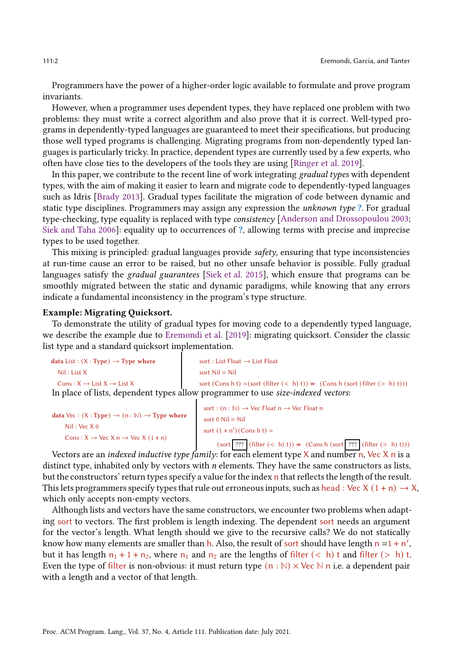Programmers have the power of a higher-order logic available to formulate and prove program invariants.

However, when a programmer uses dependent types, they have replaced one problem with two problems: they must write a correct algorithm and also prove that it is correct. Well-typed programs in dependently-typed languages are guaranteed to meet their specifications, but producing those well typed programs is challenging. Migrating programs from non-dependently typed languages is particularly tricky. In practice, dependent types are currently used by a few experts, who often have close ties to the developers of the tools they are using [\[Ringer et al. 2019](#page-27-1)].

In this paper, we contribute to the recent line of work integrating gradual types with dependent types, with the aim of making it easier to learn and migrate code to dependently-typed languages such as Idris [\[Brady 2013\]](#page-26-0). Gradual types facilitate the migration of code between dynamic and static type disciplines. Programmers may assign any expression the *unknown type* ?. For gradual type-checking, type equality is replaced with type consistency [\[Anderson and Drossopoulou 2003;](#page-26-1) [Siek and Taha 2006](#page-27-2)]: equality up to occurrences of ?, allowing terms with precise and imprecise types to be used together.

This mixing is principled: gradual languages provide  $\mathfrak{sofet}$ , ensuring that type inconsistencies at run-time cause an error to be raised, but no other unsafe behavior is possible. Fully gradual languages satisfy the *gradual guarantees* [\[Siek et al. 2015](#page-27-3)], which ensure that programs can be smoothly migrated between the static and dynamic paradigms, while knowing that any errors indicate a fundamental inconsistency in the program's type structure.

#### Example: Migrating Quicksort.

To demonstrate the utility of gradual types for moving code to a dependently typed language, we describe the example due to [Eremondi et al.](#page-27-4) [\[2019](#page-27-4)]: migrating quicksort. Consider the classic list type and a standard quicksort implementation.

| data List : $(X : Type) \rightarrow Type$ where   | sort : List Float $\rightarrow$ List Float                                               |
|---------------------------------------------------|------------------------------------------------------------------------------------------|
| Nil: List X                                       | sort $Nil = Nil$                                                                         |
| Cons: $X \rightarrow$ List $X \rightarrow$ List X | sort (Cons h t) = (sort (filter $(< h)$ t)) + (Cons h (sort (filter $(> h)$ t)))         |
|                                                   | In place of lists, dependent types allow programmer to use <i>size-indexed vectors</i> : |

```
data Vec : (X : Type) \rightarrow (n : \mathbb{N}) \rightarrow Type where sort 0 Nil = Nil
     Nil : Vec X 0
     Cons : X \rightarrow \text{Vec } X n \rightarrow \text{Vec } X (1+n)sort : (n : \mathbb{N}) \rightarrow Vec Float n \rightarrow Vec Float n
                                                                     sort (1 + n') (Cons h t) =
                                                                          (sort ??? (filter (< h) t)) + (Cons h (sort ??? (filter (> h) t)))
```
Vectors are an *indexed inductive type family*: for each element type  $X$  and number n, Vec  $X$  n is a distinct type, inhabited only by vectors with  $n$  elements. They have the same constructors as lists, but the constructors' return types specify a value for the index n that reflects the length of the result. This lets programmers specify types that rule out erroneous inputs, such as head : Vec X  $(1 + n) \rightarrow X$ , which only accepts non-empty vectors.

Although lists and vectors have the same constructors, we encounter two problems when adapting sort to vectors. The first problem is length indexing. The dependent sort needs an argument for the vector's length. What length should we give to the recursive calls? We do not statically know how many elements are smaller than  $h$ . Also, the result of sort should have length  $n = 1 + n'$ , but it has length  $n_1 + 1 + n_2$ , where  $n_1$  and  $n_2$  are the lengths of filter (< h) t and filter (> h) t. Even the type of filter is non-obvious: it must return type  $(n : \mathbb{N}) \times \mathbb{V}$ ec  $\mathbb{N}$  n i.e. a dependent pair with a length and a vector of that length.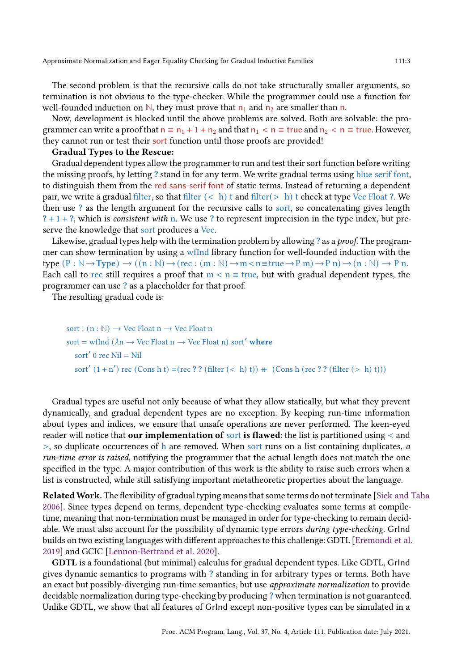The second problem is that the recursive calls do not take structurally smaller arguments, so termination is not obvious to the type-checker. While the programmer could use a function for well-founded induction on  $\mathbb{N}$ , they must prove that  $n_1$  and  $n_2$  are smaller than n.

Now, development is blocked until the above problems are solved. Both are solvable: the programmer can write a proof that  $n \equiv n_1 + 1 + n_2$  and that  $n_1 < n \equiv$  true and  $n_2 < n \equiv$  true. However, they cannot run or test their sort function until those proofs are provided!

## Gradual Types to the Rescue:

Gradual dependent types allow the programmer to run and test their sort function before writing the missing proofs, by letting ? stand in for any term. We write gradual terms using blue serif font, to distinguish them from the red sans-serif font of static terms. Instead of returning a dependent pair, we write a gradual filter, so that filter  $(< h)$  t and filter $(> h)$  t check at type Vec Float ?. We then use ? as the length argument for the recursive calls to sort, so concatenating gives length  $? + 1 + ?$ , which is consistent with n. We use ? to represent imprecision in the type index, but preserve the knowledge that sort produces a Vec.

Likewise, gradual types help with the termination problem by allowing ? as a *proof*. The programmer can show termination by using a wfInd library function for well-founded induction with the type  $(P : \mathbb{N} \to \text{Type}) \to ((n : \mathbb{N}) \to (rec : (m : \mathbb{N}) \to m < n \equiv true \to P m \to P n) \to (n : \mathbb{N}) \to P n$ . Each call to rec still requires a proof that  $m < n \equiv$  true, but with gradual dependent types, the programmer can use ? as a placeholder for that proof.

The resulting gradual code is:

sort :  $(n : \mathbb{N}) \rightarrow$  Vec Float  $n \rightarrow$  Vec Float n sort = wfInd ( $\lambda$ n  $\rightarrow$  Vec Float n  $\rightarrow$  Vec Float n) sort' where sort′ 0 rec Nil = Nil sort'  $(1 + n')$  rec  $(Cons h t) = (rec ? ? (filter (< h) t)) + (Cons h (rec ? ? (filter (< h) t)))$ 

Gradual types are useful not only because of what they allow statically, but what they prevent dynamically, and gradual dependent types are no exception. By keeping run-time information about types and indices, we ensure that unsafe operations are never performed. The keen-eyed reader will notice that **our implementation of sort is flawed**: the list is partitioned using  $\lt$  and  $>$ , so duplicate occurrences of h are removed. When sort runs on a list containing duplicates, a run-time error is raised, notifying the programmer that the actual length does not match the one specified in the type. A major contribution of this work is the ability to raise such errors when a list is constructed, while still satisfying important metatheoretic properties about the language.

RelatedWork. The flexibility of gradual typing means that some terms do not terminate [\[Siek and Taha](#page-27-2) [2006\]](#page-27-2). Since types depend on terms, dependent type-checking evaluates some terms at compiletime, meaning that non-termination must be managed in order for type-checking to remain decidable. We must also account for the possibility of dynamic type errors during type-checking. GrInd builds on two existing languages with different approaches to this challenge: GDTL [\[Eremondi et al.](#page-27-4) [2019\]](#page-27-4) and GCIC [\[Lennon-Bertrand et al. 2020\]](#page-27-5).

GDTL is a foundational (but minimal) calculus for gradual dependent types. Like GDTL, GrInd gives dynamic semantics to programs with ? standing in for arbitrary types or terms. Both have an exact but possibly-diverging run-time semantics, but use approximate normalization to provide decidable normalization during type-checking by producing ? when termination is not guaranteed. Unlike GDTL, we show that all features of GrInd except non-positive types can be simulated in a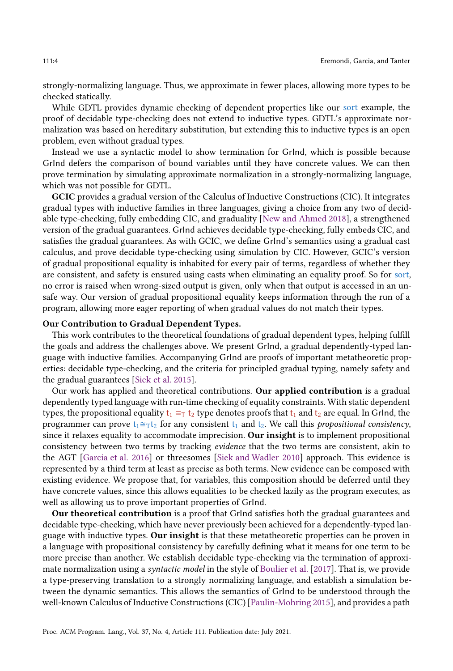strongly-normalizing language. Thus, we approximate in fewer places, allowing more types to be checked statically.

While GDTL provides dynamic checking of dependent properties like our sort example, the proof of decidable type-checking does not extend to inductive types. GDTL's approximate normalization was based on hereditary substitution, but extending this to inductive types is an open problem, even without gradual types.

Instead we use a syntactic model to show termination for GrInd, which is possible because GrInd defers the comparison of bound variables until they have concrete values. We can then prove termination by simulating approximate normalization in a strongly-normalizing language, which was not possible for GDTL.

GCIC provides a gradual version of the Calculus of Inductive Constructions (CIC). It integrates gradual types with inductive families in three languages, giving a choice from any two of decidable type-checking, fully embedding CIC, and graduality [New and Ahmed 2018], a strengthened version of the gradual guarantees. GrInd achieves decidable type-checking, fully embeds CIC, and satisfies the gradual guarantees. As with GCIC, we define GrInd's semantics using a gradual cast calculus, and prove decidable type-checking using simulation by CIC. However, GCIC's version of gradual propositional equality is inhabited for every pair of terms, regardless of whether they are consistent, and safety is ensured using casts when eliminating an equality proof. So for sort, no error is raised when wrong-sized output is given, only when that output is accessed in an unsafe way. Our version of gradual propositional equality keeps information through the run of a program, allowing more eager reporting of when gradual values do not match their types.

#### Our Contribution to Gradual Dependent Types.

This work contributes to the theoretical foundations of gradual dependent types, helping fulfill the goals and address the challenges above. We present GrInd, a gradual dependently-typed language with inductive families. Accompanying GrInd are proofs of important metatheoretic properties: decidable type-checking, and the criteria for principled gradual typing, namely safety and the gradual guarantees [\[Siek et al. 2015](#page-27-3)].

Our work has applied and theoretical contributions. Our applied contribution is a gradual dependently typed language with run-time checking of equality constraints. With static dependent types, the propositional equality  $t_1 \equiv_T t_2$  type denotes proofs that  $t_1$  and  $t_2$  are equal. In GrInd, the programmer can prove  $t_1 \cong_T t_2$  for any consistent  $t_1$  and  $t_2$ . We call this propositional consistency, since it relaxes equality to accommodate imprecision. Our insight is to implement propositional consistency between two terms by tracking evidence that the two terms are consistent, akin to the AGT [\[Garcia et al. 2016\]](#page-27-6) or threesomes [\[Siek and Wadler 2010\]](#page-27-7) approach. This evidence is represented by a third term at least as precise as both terms. New evidence can be composed with existing evidence. We propose that, for variables, this composition should be deferred until they have concrete values, since this allows equalities to be checked lazily as the program executes, as well as allowing us to prove important properties of GrInd.

Our theoretical contribution is a proof that GrInd satisfies both the gradual guarantees and decidable type-checking, which have never previously been achieved for a dependently-typed language with inductive types. Our insight is that these metatheoretic properties can be proven in a language with propositional consistency by carefully defining what it means for one term to be more precise than another. We establish decidable type-checking via the termination of approximate normalization using a syntactic model in the style of Boulier et al. [2017]. That is, we provide a type-preserving translation to a strongly normalizing language, and establish a simulation between the dynamic semantics. This allows the semantics of GrInd to be understood through the well-known Calculus of Inductive Constructions (CIC) [\[Paulin-Mohring 2015\]](#page-27-8), and provides a path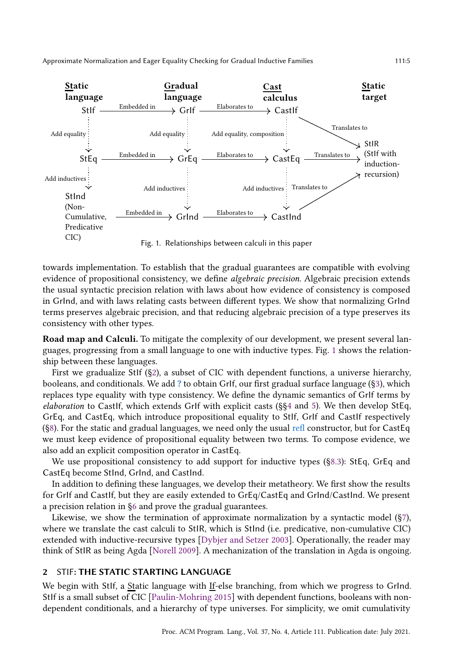<span id="page-4-0"></span>

Fig. 1. Relationships between calculi in this paper

towards implementation. To establish that the gradual guarantees are compatible with evolving evidence of propositional consistency, we define algebraic precision. Algebraic precision extends the usual syntactic precision relation with laws about how evidence of consistency is composed in GrInd, and with laws relating casts between different types. We show that normalizing GrInd terms preserves algebraic precision, and that reducing algebraic precision of a type preserves its consistency with other types.

Road map and Calculi. To mitigate the complexity of our development, we present several languages, progressing from a small language to one with inductive types. Fig. [1](#page-4-0) shows the relationship between these languages.

First we gradualize StIf ([§2\)](#page-4-1), a subset of CIC with dependent functions, a universe hierarchy, booleans, and conditionals. We add ? to obtain GrIf, our first gradual surface language ([§3\)](#page-6-0), which replaces type equality with type consistency. We define the dynamic semantics of GrIf terms by elaboration to CastIf, which extends GrIf with explicit casts (§[§4](#page-7-0) and [5\)](#page-10-0). We then develop StEq, GrEq, and CastEq, which introduce propositional equality to StIf, GrIf and CastIf respectively ([§8\)](#page-19-0). For the static and gradual languages, we need only the usual refl constructor, but for CastEq we must keep evidence of propositional equality between two terms. To compose evidence, we also add an explicit composition operator in CastEq.

We use propositional consistency to add support for inductive types ([§8.3\)](#page-24-0): StEq, GrEq and CastEq become StInd, GrInd, and CastInd.

In addition to defining these languages, we develop their metatheory. We first show the results for GrIf and CastIf, but they are easily extended to GrEq/CastEq and GrInd/CastInd. We present a precision relation in [§6](#page-12-0) and prove the gradual guarantees.

Likewise, we show the termination of approximate normalization by a syntactic model ([§7\)](#page-16-0), where we translate the cast calculi to StIR, which is StInd (i.e. predicative, non-cumulative CIC) extended with inductive-recursive types [\[Dybjer and Setzer 2003\]](#page-27-9). Operationally, the reader may think of StIR as being Agda [\[Norell 2009](#page-27-10)]. A mechanization of the translation in Agda is ongoing.

## <span id="page-4-1"></span>2 STIF: THE STATIC STARTING LANGUAGE

We begin with StIf, a Static language with If-else branching, from which we progress to GrInd. StIf is a small subset of CIC [\[Paulin-Mohring 2015\]](#page-27-8) with dependent functions, booleans with nondependent conditionals, and a hierarchy of type universes. For simplicity, we omit cumulativity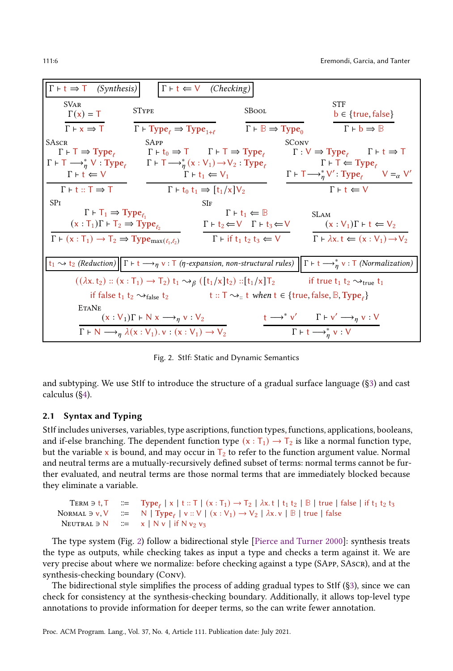<span id="page-5-0"></span>

| $\Gamma$ + t $\Rightarrow$ T (Synthesis)                                                                                                                                                                    |                                                                                                                                                      | $\Gamma \vdash t \Leftarrow V$ (Checking)                                                                                                      |                                                                                       |                                          |
|-------------------------------------------------------------------------------------------------------------------------------------------------------------------------------------------------------------|------------------------------------------------------------------------------------------------------------------------------------------------------|------------------------------------------------------------------------------------------------------------------------------------------------|---------------------------------------------------------------------------------------|------------------------------------------|
| <b>SVAR</b>                                                                                                                                                                                                 |                                                                                                                                                      |                                                                                                                                                | <b>STF</b>                                                                            |                                          |
| $\Gamma(x) = T$                                                                                                                                                                                             | <b>STYPE</b>                                                                                                                                         | SBool                                                                                                                                          |                                                                                       | $b \in \{true, false\}$                  |
| $\Gamma \vdash x \Rightarrow T$                                                                                                                                                                             | $\Gamma \vdash \text{Type}_e \Rightarrow \text{Type}_{1+\ell}$                                                                                       | $\Gamma \vdash \mathbb{B} \Rightarrow \text{Type}_0$                                                                                           |                                                                                       | $\Gamma \vdash b \Rightarrow \mathbb{B}$ |
| <b>SASCR</b>                                                                                                                                                                                                | <b>SAPP</b>                                                                                                                                          |                                                                                                                                                | <b>SCONV</b>                                                                          |                                          |
|                                                                                                                                                                                                             | $\Gamma \vdash \mathsf{T} \Rightarrow \text{Type}_e$ $\Gamma \vdash t_0 \Rightarrow \mathsf{T}$ $\Gamma \vdash \mathsf{T} \Rightarrow \text{Type}_e$ |                                                                                                                                                | $\Gamma: V \Rightarrow \text{Type}_e \qquad \Gamma \vdash t \Rightarrow \text{T}$     |                                          |
| $\Gamma \vdash \top \longrightarrow_n^* V : \text{Type}_\ell \qquad \Gamma \vdash \top \longrightarrow_n^* (x : V_1) \rightarrow V_2 : \text{Type}_\ell$                                                    |                                                                                                                                                      |                                                                                                                                                | $\Gamma \vdash \top \Leftarrow \text{Type}_\ell$                                      |                                          |
| $\Gamma \vdash t \Leftarrow V$                                                                                                                                                                              |                                                                                                                                                      | $\Gamma \vdash t_1 \Leftarrow V_1$                                                                                                             | $\Gamma \vdash \top \longrightarrow_{n}^{*} V'$ : Type <sub>e</sub> $V =_{\alpha} V'$ |                                          |
| $\Gamma$ + t :: $\Gamma \Rightarrow \Gamma$                                                                                                                                                                 |                                                                                                                                                      | $\Gamma$ + t <sub>0</sub> t <sub>1</sub> $\Rightarrow$ $[t_1/x]$ $V_2$                                                                         | $\Gamma \vdash t \Leftarrow V$                                                        |                                          |
| SPI                                                                                                                                                                                                         |                                                                                                                                                      | SIF                                                                                                                                            |                                                                                       |                                          |
| $\Gamma \vdash \mathsf{T}_1 \Rightarrow \mathsf{Type}_e$                                                                                                                                                    |                                                                                                                                                      | $\Gamma \vdash t_1 \Leftarrow \mathbb{B}$                                                                                                      | <b>SLAM</b>                                                                           |                                          |
| $(x : T_1)\Gamma \vdash T_2 \Rightarrow Type_{\ell_2}$                                                                                                                                                      |                                                                                                                                                      | $\Gamma \vdash t_2 \leftarrow \mathsf{V}$ $\Gamma \vdash t_3 \leftarrow \mathsf{V}$                                                            |                                                                                       | $(x:V_1)\Gamma \vdash t \Leftarrow V_2$  |
| $\Gamma \vdash (x : T_1) \rightarrow T_2 \Rightarrow Type_{max(\ell_1, \ell_2)}$                                                                                                                            |                                                                                                                                                      | $\Gamma$ + if t <sub>1</sub> t <sub>2</sub> t <sub>3</sub> $\Leftarrow$ $V$ $\Gamma$ + $\lambda$ x. t $\Leftarrow$ $(x : V_1) \rightarrow V_2$ |                                                                                       |                                          |
|                                                                                                                                                                                                             |                                                                                                                                                      |                                                                                                                                                |                                                                                       |                                          |
| $t_1 \rightsquigarrow t_2$ (Reduction) $\ \Gamma \vdash t \longrightarrow_\eta v : \Gamma$ ( $\eta$ -expansion, non-structural rules) $\ \Gamma \vdash t \longrightarrow_\eta^* v : \Gamma$ (Normalization) |                                                                                                                                                      |                                                                                                                                                |                                                                                       |                                          |
|                                                                                                                                                                                                             | $((\lambda x. t_2) :: (x : T_1) \rightarrow T_2) t_1 \rightsquigarrow_{\beta} ([t_1/x]t_2) :: [t_1/x]T_2$                                            |                                                                                                                                                | if true $t_1$ $t_2 \sim t_{true}$ $t_1$                                               |                                          |
|                                                                                                                                                                                                             | if false $t_1$ $t_2 \rightsquigarrow_{\text{false}} t_2$                                                                                             | t :: T $\rightsquigarrow$ t when t $\in$ {true, false, $\mathbb{B}$ , Type,}                                                                   |                                                                                       |                                          |
| <b>ETANE</b>                                                                                                                                                                                                |                                                                                                                                                      |                                                                                                                                                |                                                                                       |                                          |
|                                                                                                                                                                                                             | $(x:V_1)\Gamma \vdash N x \longrightarrow_n v:V_2$                                                                                                   |                                                                                                                                                | $t \longrightarrow^* v'$ $\Gamma \vdash v' \longrightarrow_{\eta} v : V$              |                                          |
|                                                                                                                                                                                                             | $\Gamma \vdash N \longrightarrow_{\eta} \lambda(x:V_1).v:(x:V_1) \rightarrow V_2$                                                                    |                                                                                                                                                | $\Gamma \vdash t \longrightarrow_n^* v : V$                                           |                                          |

Fig. 2. StIf: Static and Dynamic Semantics

and subtyping. We use StIf to introduce the structure of a gradual surface language ([§3\)](#page-6-0) and cast calculus ([§4\)](#page-7-0).

## 2.1 Syntax and Typing

StIf includes universes, variables, type ascriptions, function types, functions, applications, booleans, and if-else branching. The dependent function type  $(x : T_1) \rightarrow T_2$  is like a normal function type, but the variable x is bound, and may occur in  $T_2$  to refer to the function argument value. Normal and neutral terms are a mutually-recursively defined subset of terms: normal terms cannot be further evaluated, and neutral terms are those normal terms that are immediately blocked because they eliminate a variable.

```
TERM \Rightarrow t, T \Rightarrow Type<sub>l</sub> | x | t :: T | (x : T<sub>1</sub>) \rightarrow T<sub>2</sub> | \lambdax. t | t<sub>1</sub> t<sub>2</sub> | \mathbb{B} | true | false | if t<sub>1</sub> t<sub>2</sub> t<sub>3</sub>
NORMAL ∋ v, V \cong N | Type<sub>ℓ</sub> | v :: V | (x : V<sub>1</sub>) → V<sub>2</sub> | \lambdax. v | B | true | false
 NEUTRAL \exists N \ ::= x \mid N \vee \mid \text{if } N \vee_2 \vee_3
```
The type system (Fig. [2\)](#page-5-0) follow a bidirectional style [\[Pierce and Turner 2000\]](#page-27-11): synthesis treats the type as outputs, while checking takes as input a type and checks a term against it. We are very precise about where we normalize: before checking against a type (SApp, SAscr), and at the synthesis-checking boundary (Conv).

The bidirectional style simplifies the process of adding gradual types to StIf ([§3\)](#page-6-0), since we can check for consistency at the synthesis-checking boundary. Additionally, it allows top-level type annotations to provide information for deeper terms, so the can write fewer annotation.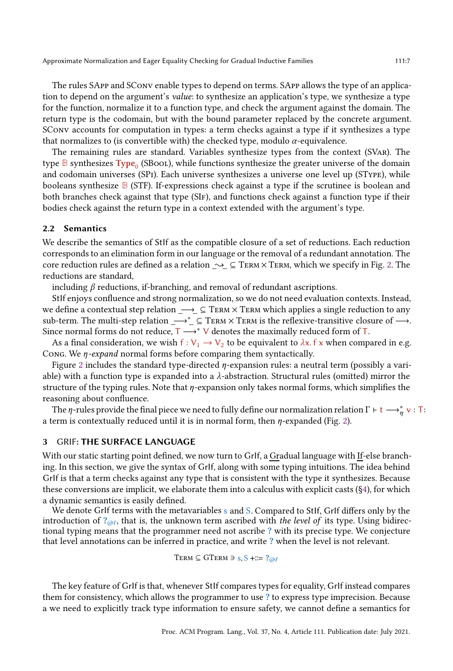The rules SApp and SConv enable types to depend on terms. SApp allows the type of an application to depend on the argument's value: to synthesize an application's type, we synthesize a type for the function, normalize it to a function type, and check the argument against the domain. The return type is the codomain, but with the bound parameter replaced by the concrete argument. SConv accounts for computation in types: a term checks against a type if it synthesizes a type that normalizes to (is convertible with) the checked type, modulo  $\alpha$ -equivalence.

The remaining rules are standard. Variables synthesize types from the context (SVar). The type  $\mathbb B$  synthesizes  $\mathbf{Type}_{0}$  (SBool), while functions synthesize the greater universe of the domain and codomain universes (SPi). Each universe synthesizes a universe one level up (SType), while booleans synthesize **B** (STF). If-expressions check against a type if the scrutinee is boolean and both branches check against that type (SIF), and functions check against a function type if their bodies check against the return type in a context extended with the argument's type.

## 2.2 Semantics

We describe the semantics of StIf as the compatible closure of a set of reductions. Each reduction corresponds to an elimination form in our language or the removal of a redundant annotation. The core reduction rules are defined as a relation  $\sim \subseteq$  TERM× TERM, which we specify in Fig. [2.](#page-5-0) The reductions are standard,

including  $\beta$  reductions, if-branching, and removal of redundant ascriptions.

StIf enjoys confluence and strong normalization, so we do not need evaluation contexts. Instead, we define a contextual step relation  $\longrightarrow$  ⊆ TERM  $\times$  TERM which applies a single reduction to any sub-term. The multi-step relation \_→<br>\*\_ ⊆ TERM  $\times$  TERM is the reflexive-transitive closure of →. Since normal forms do not reduce,  $T \longrightarrow^* V$  denotes the maximally reduced form of T.

As a final consideration, we wish  $f : V_1 \to V_2$  to be equivalent to  $\lambda x$ . f x when compared in e.g. Cong. We  $\eta$ -expand normal forms before comparing them syntactically.

Figure [2](#page-5-0) includes the standard type-directed  $\eta$ -expansion rules: a neutral term (possibly a variable) with a function type is expanded into a  $\lambda$ -abstraction. Structural rules (omitted) mirror the structure of the typing rules. Note that  $\eta$ -expansion only takes normal forms, which simplifies the reasoning about confluence.

The  $\eta$ -rules provide the final piece we need to fully define our normalization relation  $\Gamma \vdash t \longrightarrow_\eta^* v : T$ : a term is contextually reduced until it is in normal form, then  $\eta$ -expanded (Fig. [2\)](#page-5-0).

## <span id="page-6-0"></span>3 GRIF: THE SURFACE LANGUAGE

With our static starting point defined, we now turn to GrIf, a Gradual language with If-else branching. In this section, we give the syntax of GrIf, along with some typing intuitions. The idea behind GrIf is that a term checks against any type that is consistent with the type it synthesizes. Because these conversions are implicit, we elaborate them into a calculus with explicit casts ([§4\)](#page-7-0), for which a dynamic semantics is easily defined.

We denote GrIf terms with the metavariables s and S. Compared to StIf, GrIf differs only by the introduction of  $?_{@l}$ , that is, the unknown term ascribed with the level of its type. Using bidirectional typing means that the programmer need not ascribe ? with its precise type. We conjecture that level annotations can be inferred in practice, and write ? when the level is not relevant.

TERM  $\subseteq$  GTERM  $\Rightarrow$  s, S +::= ? $@l$ 

The key feature of GrIf is that, whenever StIf compares types for equality, GrIf instead compares them for consistency, which allows the programmer to use ? to express type imprecision. Because a we need to explicitly track type information to ensure safety, we cannot define a semantics for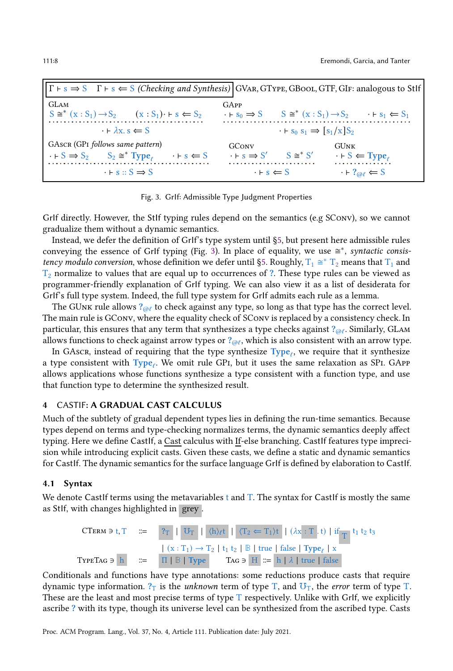<span id="page-7-1"></span>

| $\Gamma \vdash s \Rightarrow S$ $\Gamma \vdash s \Leftarrow S$ (Checking and Synthesis) GVAR, GTYPE, GBOOL, GTF, GIF: analogous to Stlf                       |                                                                                         |                                                                              |
|---------------------------------------------------------------------------------------------------------------------------------------------------------------|-----------------------------------------------------------------------------------------|------------------------------------------------------------------------------|
| <b>GLAM</b><br>$S \cong^* (x : S_1) \rightarrow S_2$ $(x : S_1) \rightarrow s \Longleftrightarrow S_2$                                                        | GAPP<br>$\cdot \vdash s_0 \Rightarrow S$                                                | $S \cong^* (x : S_1) \rightarrow S_2 \quad \rightarrow F s_1 \leftarrow S_1$ |
| $\cdot \vdash \lambda x \ s \Leftarrow S$                                                                                                                     | $\cdot$ + s <sub>0</sub> s <sub>1</sub> $\Rightarrow$ [s <sub>1</sub> /x]S <sub>2</sub> |                                                                              |
| GASCR (GPI follows same pattern)<br>$\cdot$ + S $\Rightarrow$ S <sub>2</sub> $\leq$ S <sub>2</sub> $\cong$ Type <sub>e</sub><br>$\cdot \vdash s \Leftarrow S$ | GConv<br>$S \cong^* S'$<br>$\cdot \vdash s \Rightarrow S'$                              | <b>GUNK</b><br>$\cdot \vdash S \Leftarrow Type$                              |
| $\cdot$ + s :: S $\Rightarrow$ S                                                                                                                              | $\cdot$ $\vdash$ s $\Leftarrow$ S                                                       | $\cdot$ + ? $_{\odot}$ e S                                                   |

Fig. 3. GrIf: Admissible Type Judgment Properties

GrIf directly. However, the StIf typing rules depend on the semantics (e.g SConv), so we cannot gradualize them without a dynamic semantics.

Instead, we defer the definition of GrIf's type system until [§5,](#page-10-0) but present here admissible rules conveying the essence of GrIf typing (Fig. [3\)](#page-7-1). In place of equality, we use  $\cong^*$ , syntactic consis-tency modulo conversion, whose definition we defer until [§5.](#page-10-0) Roughly,  $T_1 \cong T_2$  means that  $T_1$  and  $T_2$  normalize to values that are equal up to occurrences of ?. These type rules can be viewed as programmer-friendly explanation of GrIf typing. We can also view it as a list of desiderata for GrIf's full type system. Indeed, the full type system for GrIf admits each rule as a lemma.

The GUnk rule allows  $?_{@l}$  to check against any type, so long as that type has the correct level. The main rule is GConv, where the equality check of SConv is replaced by a consistency check. In particular, this ensures that any term that synthesizes a type checks against  $?_{@l}$ . Similarly, GLAM allows functions to check against arrow types or  $?_{@l}$ , which is also consistent with an arrow type.

In GAscr, instead of requiring that the type synthesize  $Type_{\ell}$ , we require that it synthesize a type consistent with  $Type_{\ell}$ . We omit rule GP1, but it uses the same relaxation as SP1. GAPP allows applications whose functions synthesize a type consistent with a function type, and use that function type to determine the synthesized result.

## <span id="page-7-0"></span>4 CASTIF: A GRADUAL CAST CALCULUS

Much of the subtlety of gradual dependent types lies in defining the run-time semantics. Because types depend on terms and type-checking normalizes terms, the dynamic semantics deeply affect typing. Here we define Castlf, a Cast calculus with If-else branching. Castlf features type imprecision while introducing explicit casts. Given these casts, we define a static and dynamic semantics for CastIf. The dynamic semantics for the surface language GrIf is defined by elaboration to CastIf.

#### 4.1 Syntax

We denote CastIf terms using the metavariables t and T. The syntax for CastIf is mostly the same as StIf, with changes highlighted in grey .

$$
\begin{array}{rcl}\n\text{CTerM } \ni t, T & ::= & \mathbf{?}_T \mid \mathbf{U}_T \mid \langle h \rangle_{\ell} t \mid \langle T_2 \Leftarrow T_1 \rangle t \mid (\lambda x : T \cdot t) \mid \text{if } T \mid t_1 t_2 t_3 \\
 & & \quad | \ (x : T_1) \rightarrow T_2 \mid t_1 t_2 \mid \mathbb{B} \mid \text{true} \mid \text{false} \mid \text{Type}_{\ell} \mid x \\
 & ::= & \Pi \mid \mathbb{B} \mid \text{Type} \qquad \text{TAG } \ni \mid H \mid ::= h \mid \lambda \mid \text{true} \mid \text{false}\n\end{array}
$$

Conditionals and functions have type annotations: some reductions produce casts that require dynamic type information.  $?_T$  is the *unknown* term of type T, and  $\mathbb{U}_T$ , the *error* term of type T. These are the least and most precise terms of type  $T$  respectively. Unlike with GrIf, we explicitly ascribe ? with its type, though its universe level can be synthesized from the ascribed type. Casts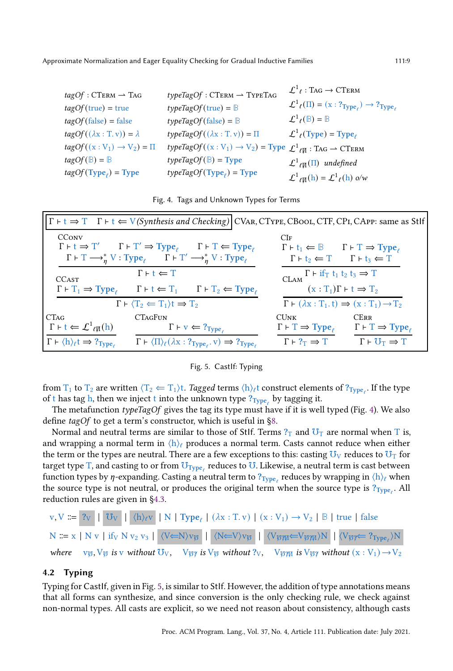<span id="page-8-0"></span>

| $tagOf : CTERM \rightarrow Tag$           | $typeTagOf : CTERM \rightarrow TypeTAG$                                                    | $\mathcal{L}^1$ e : Tag $\rightarrow$ CTERM                                                                     |
|-------------------------------------------|--------------------------------------------------------------------------------------------|-----------------------------------------------------------------------------------------------------------------|
|                                           |                                                                                            | $\mathcal{L}^1$ <sub>l</sub> ( $\Pi$ ) = (x : ? $T_{\text{Type}_\ell}$ ) $\rightarrow$ ? $T_{\text{type}_\ell}$ |
| $tagOf(true) = true$                      | $typeTagOf(true) = \mathbb{B}$                                                             |                                                                                                                 |
| $tagOf(false) = false$                    | $typeTagOf(false) = \mathbb{B}$                                                            | $\mathcal{L}^1$ <sub>l</sub> ( $\mathbb{B}$ ) = $\mathbb{B}$                                                    |
| $tagOf((\lambda x : T.v)) = \lambda$      | $typeTagOf((\lambda x : T, v)) = \Pi$                                                      | $\mathcal{L}^1$ <sub>l</sub> (Type) = Type <sub>l</sub>                                                         |
| $tagOf((x:V_1) \rightarrow V_2) = \Pi$    | $typeTagOf((x:V_1) \rightarrow V_2) = Type \mathcal{L}^1_{\ell M} : TAG \rightarrow CTERM$ |                                                                                                                 |
| $tagOf(\mathbb{B}) = \mathbb{B}$          | $typeTagOf(\mathbb{B}) = Type$                                                             | $\mathcal{L}^1{}_{\ell}(\Pi)$ undefined                                                                         |
| $tagOf(\text{Type}_{\ell}) = \text{Type}$ | $typeTagOf(Type_{\ell}) = Type$                                                            | $\mathcal{L}^1{}_{\ell\Pi}(\mathbf{h}) = \mathcal{L}^1{}_{\ell}(\mathbf{h})$ o/w                                |

<span id="page-8-1"></span>

| $\Gamma$ + t $\Rightarrow$ T $\Gamma$ + t $\Leftarrow$ V(Synthesis and Checking) CVAR, CTYPE, CB00L, CTF, CPI, CAPP: same as Stlf                                                                                                                                                                                                                       |                                                                                                                                                                                                                                                      |  |
|---------------------------------------------------------------------------------------------------------------------------------------------------------------------------------------------------------------------------------------------------------------------------------------------------------------------------------------------------------|------------------------------------------------------------------------------------------------------------------------------------------------------------------------------------------------------------------------------------------------------|--|
| <b>CCONV</b><br>$\Gamma \vdash t \Rightarrow \Gamma'$ $\Gamma \vdash \Gamma' \Rightarrow \text{Type}_e$ $\Gamma \vdash \Gamma \Leftarrow \text{Type}_e$<br>$\Gamma \vdash \mathrm{T} \longrightarrow_n^* \mathrm{V}$ : Type <sub><math>\ell</math></sub> $\Gamma \vdash \mathrm{T}' \longrightarrow_n^* \mathrm{V}$ : Type <sub><math>\ell</math></sub> | CIF<br>$\Gamma \vdash t_1 \Leftarrow \mathbb{B}$ $\Gamma \vdash T \Rightarrow \text{Type}_e$<br>$\Gamma \vdash t_2 \Leftarrow T \qquad \Gamma \vdash t_3 \Leftarrow T$                                                                               |  |
| $\Gamma \vdash t \Leftarrow T$<br><b>CCAST</b><br>$\Gamma \vdash T_1 \Rightarrow \text{Type}_e \qquad \Gamma \vdash t \Leftarrow T_1 \qquad \Gamma \vdash T_2 \Leftarrow \text{Type}_e$                                                                                                                                                                 | $\Gamma$ + if <sub>T</sub> t <sub>1</sub> t <sub>2</sub> t <sub>3</sub> $\Rightarrow$ T<br><b>CLAM</b><br>$(x: T_1)\Gamma \vdash t \Rightarrow T_2$                                                                                                  |  |
| $\Gamma \vdash \langle T_2 \leftarrow T_1 \rangle t \Rightarrow T_2$                                                                                                                                                                                                                                                                                    | $\Gamma \vdash (\lambda x : T_1, t) \Rightarrow (x : T_1) \rightarrow T_2$                                                                                                                                                                           |  |
| <b>CTAGFUN</b><br><b>CTAG</b><br>$\Gamma \vdash t \Leftarrow \mathcal{L}^1_{\ell}(\mathfrak{n})$<br>$\Gamma \vdash v \Leftarrow ?_{Type}$<br>$\Gamma \vdash \langle h \rangle_{\ell} t \Rightarrow ?_{Type}$<br>$\Gamma \vdash \langle \Pi \rangle_{\ell} (\lambda x : ?_{Type_{\ell}} \cdot v) \Rightarrow ?_{Type_{\ell}}$                            | <b>CERR</b><br>CUNK<br>$\Gamma \vdash T \Rightarrow \text{Type}_\ell$<br>$\Gamma \vdash \Gamma \Rightarrow \text{Type}_e$<br>$\Gamma \vdash \mathbb{U}_{\mathbb{T}} \Rightarrow \mathbb{T}$<br>$\Gamma \vdash ?_{\mathrm{T}} \Rightarrow \mathrm{T}$ |  |

Fig. 4. Tags and Unknown Types for Terms

#### Fig. 5. CastIf: Typing

from  $T_1$  to  $T_2$  are written  $\langle T_2 \Leftarrow T_1 \rangle$ t. *Tagged* terms  $\langle h \rangle_\ell$ t construct elements of ? $_{Type_\ell}$ . If the type of t has tag h, then we inject t into the unknown type  $?_{Type_{\ell}}$  by tagging it.

The metafunction typeTagOf gives the tag its type must have if it is well typed (Fig. [4\)](#page-8-0). We also define tagOf to get a term's constructor, which is useful in [§8.](#page-19-0)

Normal and neutral terms are similar to those of StIf. Terms  $?_T$  and  $\mathbb{U}_T$  are normal when T is, and wrapping a normal term in  $\langle h \rangle_{\ell}$  produces a normal term. Casts cannot reduce when either the term or the types are neutral. There are a few exceptions to this: casting  $U_V$  reduces to  $U_T$  for target type T, and casting to or from  $\overline{\text{U}}_{\text{Type}_{\ell}}$  reduces to  $\overline{\text{U}}$ . Likewise, a neutral term is cast between function types by  $\eta$ -expanding. Casting a neutral term to  $?_{Type_\ell}$  reduces by wrapping in  $\langle h\rangle_\ell$  when the source type is not neutral, or produces the original term when the source type is  $?_{Type_{\ell}}$ . All reduction rules are given in [§4.3.](#page-9-0)

$$
v, V ::= \begin{array}{c|c|c|c|c|c|c|c} \hline \mathbf{r} & 0 & 0 \\ \hline \mathbf{r} & 0 & 0 & 0 \\ \hline \mathbf{r} & 0 & 0 & 0 \\ \hline \mathbf{r} & 0 & 0 & 0 \\ \hline \mathbf{r} & 0 & 0 & 0 \\ \hline \mathbf{r} & 0 & 0 & 0 \\ \hline \mathbf{r} & 0 & 0 & 0 \\ \hline \mathbf{r} & 0 & 0 & 0 \\ \hline \mathbf{r} & 0 & 0 & 0 \\ \hline \mathbf{r} & 0 & 0 & 0 \\ \hline \mathbf{r} & 0 & 0 & 0 \\ \hline \mathbf{r} & 0 & 0 & 0 \\ \hline \mathbf{r} & 0 & 0 & 0 \\ \hline \mathbf{r} & 0 & 0 & 0 \\ \hline \mathbf{r} & 0 & 0 & 0 \\ \hline \mathbf{r} & 0 & 0 & 0 \\ \hline \mathbf{r} & 0 & 0 & 0 \\ \hline \mathbf{r} & 0 & 0 & 0 \\ \hline \mathbf{r} & 0 & 0 & 0 \\ \hline \mathbf{r} & 0 & 0 & 0 \\ \hline \mathbf{r} & 0 & 0 & 0 \\ \hline \mathbf{r} & 0 & 0 & 0 \\ \hline \mathbf{r} & 0 & 0 & 0 \\ \hline \mathbf{r} & 0 & 0 & 0 \\ \hline \mathbf{r} & 0 & 0 & 0 \\ \hline \mathbf{r} & 0 & 0 & 0 \\ \hline \mathbf{r} & 0 & 0 & 0 \\ \hline \mathbf{r} & 0 & 0 & 0 \\ \hline \mathbf{r} & 0 & 0 & 0 \\ \hline \mathbf{r} & 0
$$

#### 4.2 Typing

Typing for CastIf, given in Fig. [5,](#page-8-1) is similar to StIf. However, the addition of type annotations means that all forms can synthesize, and since conversion is the only checking rule, we check against non-normal types. All casts are explicit, so we need not reason about consistency, although casts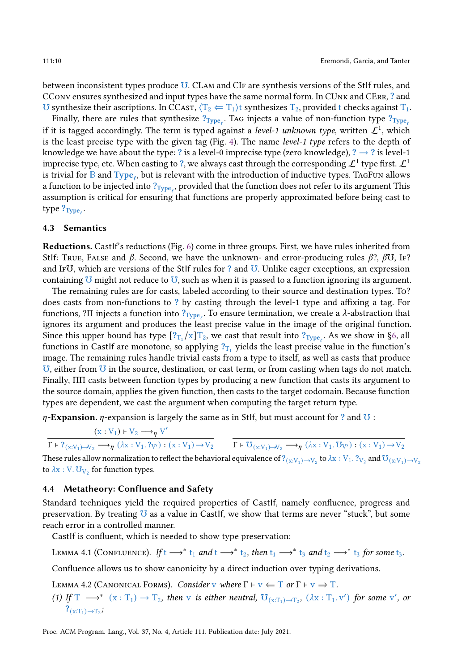between inconsistent types produce ℧. CLam and CIf are synthesis versions of the StIf rules, and CConv ensures synthesized and input types have the same normal form. In CUnk and CErr, ? and U synthesize their ascriptions. In CCAST,  $\langle T_2 \leftarrow T_1 \rangle$ t synthesizes  $T_2$ , provided t checks against  $T_1$ .

Finally, there are rules that synthesize  $?_{Type_{\ell}}$ . Tag injects a value of non-function type  $?_{Type_{\ell}}$ if it is tagged accordingly. The term is typed against a *level-1 unknown type*, written  $\mathcal{L}^1$ , which is the least precise type with the given tag (Fig. [4\)](#page-8-0). The name level-1 type refers to the depth of knowledge we have about the type: ? is a level-0 imprecise type (zero knowledge), ?  $\rightarrow$  ? is level-1 imprecise type, etc. When casting to ?, we always cast through the corresponding  $\mathcal{L}^1$  type first.  $\mathcal{L}^1$ is trivial for **B** and Type<sub>ℓ</sub>, but is relevant with the introduction of inductive types. TaGFun allows a function to be injected into  $?_{Type_\ell}$ , provided that the function does not refer to its argument This assumption is critical for ensuring that functions are properly approximated before being cast to type ?<sub>Type,</sub>.

#### <span id="page-9-0"></span>4.3 Semantics

Reductions. CastIf's reductions (Fig. [6\)](#page-10-1) come in three groups. First, we have rules inherited from Stlf: True, False and  $\beta$ . Second, we have the unknown- and error-producing rules  $\beta$ ?,  $\beta$ U, IF? and If℧, which are versions of the StIf rules for ? and ℧. Unlike eager exceptions, an expression containing  $U$  might not reduce to  $U$ , such as when it is passed to a function ignoring its argument.

The remaining rules are for casts, labeled according to their source and destination types. To? does casts from non-functions to ? by casting through the level-1 type and affixing a tag. For functions, ?Π injects a function into  $?_{Type_{\ell}}$ . To ensure termination, we create a λ-abstraction that ignores its argument and produces the least precise value in the image of the original function. Since this upper bound has type  $[?_{T_1}/x]T_2$ , we cast that result into  $?_{Type_\ell}$ . As we show in [§6,](#page-12-0) all functions in Castlf are monotone, so applying  $?_{T_1}$  yields the least precise value in the function's image. The remaining rules handle trivial casts from a type to itself, as well as casts that produce ℧, either from ℧ in the source, destination, or cast term, or from casting when tags do not match. Finally, ΠΠ casts between function types by producing a new function that casts its argument to the source domain, applies the given function, then casts to the target codomain. Because function types are dependent, we cast the argument when computing the target return type.

 $\eta$ -Expansion.  $\eta$ -expansion is largely the same as in Stlf, but must account for ? and  $\sigma$ :

$$
\frac{(x:V_1) \times V_2 \longrightarrow_{\eta} V'}{\Gamma \vdash ?_{(x:V_1) \rightarrow V_2} \longrightarrow_{\eta} (\lambda x:V_1. ?_{V'}) : (x:V_1) \rightarrow V_2}
$$
\n
$$
\frac{\Gamma \vdash V_{(x:V_1) \rightarrow V_2} \longrightarrow_{\eta} (\lambda x:V_1. \cdot V_{V'}) : (x:V_1) \rightarrow V_2}{\Gamma \vdash U_{(x:V_1) \rightarrow V_2} \longrightarrow_{\eta} (\lambda x:V_1. \cdot V_{V'}) : (x:V_1) \rightarrow V_2}
$$

These rules allow normalization to reflect the behavioral equivalence of  $?_{(x:V_1)\to V_2}$  to  $\lambda x:V_1$  .  $?_{V_2}$  and  $\sigma_{(x:V_1)\to V_2}$ to  $\lambda$ x : V.  $\sigma_{V_2}$  for function types.

## 4.4 Metatheory: Confluence and Safety

Standard techniques yield the required properties of CastIf, namely confluence, progress and preservation. By treating  $U$  as a value in Castlf, we show that terms are never "stuck", but some reach error in a controlled manner.

CastIf is confluent, which is needed to show type preservation:

LEMMA 4.1 (CONFLUENCE). If  $t \rightarrow^* t_1$  and  $t \rightarrow^* t_2$ , then  $t_1 \rightarrow^* t_3$  and  $t_2 \rightarrow^* t_3$  for some  $t_3$ .

Confluence allows us to show canonicity by a direct induction over typing derivations.

LEMMA 4.2 (CANONICAL FORMS). Consider v where  $\Gamma \vdash v \Leftarrow T$  or  $\Gamma \vdash v \Rightarrow T$ .

(1) If  $T \longrightarrow^*$   $(x : T_1) \longrightarrow T_2$ , then v is either neutral,  $\mathbb{U}_{(x : T_1) \rightarrow T_2}$ ,  $(\lambda x : T_1, v')$  for some v', or  $?_{(x:T_1)\to T_2};$ 

Proc. ACM Program. Lang., Vol. 37, No. 4, Article 111. Publication date: July 2021.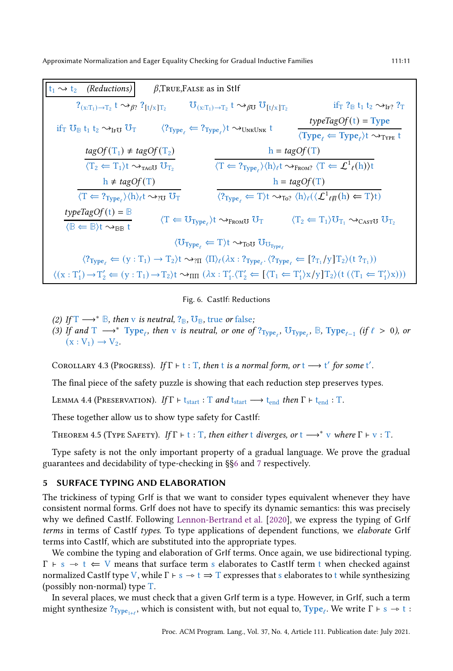<span id="page-10-1"></span> $\ket{{\rm t}_1 \leadsto {\rm t}_2}$  (Reductions)  $\beta,$ True,False as in StIf  $?_{(x:T_1)\rightarrow T_2}$  t  $\leadsto_{\beta}$ ?  $?_{[t/x]T_2}$   $\qquad \mathbb{U}_{(x:T_1)\rightarrow T_2}$  t  $\leadsto_{\beta}$   $\mathbb{U}_{[t/x]T_2}$ if<sub>T</sub> ?<sub>B</sub> t<sub>1</sub> t<sub>2</sub>  $\rightarrow$ <sub>IF?</sub> ?<sub>T</sub> if<sub>T</sub>  $U_{\text{B}}$  t<sub>1</sub> t<sub>2</sub>  $\rightarrow$ <sub>IFU</sub>  $U_T$   $\langle ?_{Type_\ell} \rightleftharpoons ?_{Type_\ell} \rangle t \rightarrow_{UnKUNK} t$   $\frac{typeTagOf(t) = Type}{\langle T \rangle_{U}}$  $\langle \text{Type}_\ell \Leftarrow \text{Type}_\ell \rangle$ t  $\leadsto_{\text{Type L}}$  t  $tagOf(T_1) \neq tagOf(T_2)$  $\langle T_2 \leftarrow T_1 \rangle t \rightsquigarrow_{\text{TAGU}} U_{T_2}$  $h = tagOf(T)$  $\langle T \Leftarrow ?_{Type_{\ell}} \rangle \langle h \rangle_{\ell} t \rightsquigarrow_{\text{FROM?}} \langle T \Leftarrow \mathcal{L}^1_{\ell}(h) \rangle t$  $h \neq tagOf(T)$  $\langle T \Leftarrow ?_{Type_{\ell}} \rangle \langle h \rangle_{\ell} t \rightsquigarrow_{?U} U_T$  $h = tagOf(T)$  $\langle ?_{Type_{\ell}} \leftarrow T \rangle t \rightsquigarrow_{To?} \langle h \rangle_{\ell} (\langle \mathcal{L}^1_{\ell} \mathfrak{g}(h) \leftarrow T \rangle t)$  $typeTagOf(t) = \mathbb{B}$  $\langle \mathbb{F} \in \mathbb{B} \rangle$ t  $\sim_{\mathbb{B} \mathbb{B}}$  t  $\langle \mathbb{T} \in \mathbb{U}_{\text{Type}_\ell} \rangle$ t  $\sim_{\text{FromU}} \mathbb{U}_{\text{T}}$   $\langle \mathbb{T}_2 \in \mathbb{T}_1 \rangle \mathbb{U}_{\text{T}_1} \sim_{\text{CASTU}} \mathbb{U}_{\text{T}_2}$  $\langle \mathbf{U}_{\text{Type}_{\ell}} \leftarrow T \rangle t \rightarrow_{\text{TOU}} \mathbf{U}_{\text{Type}_{\ell}}$  $\langle ?_{Type_\ell} \leftarrow (y : T_1) \rightarrow T_2 \rangle t \rightsquigarrow_{?II} \langle \Pi \rangle_\ell (\lambda x : ?_{Type_\ell} \cdot \langle ?_{Type_\ell} \leftarrow [?_{T_1}/y]T_2 \rangle (t ?_{T_1})\rangle$  $\langle (x : T'_1) \rightarrow T'_2 \Leftarrow (y : T_1) \rightarrow T_2 \rangle t \rightsquigarrow$ mm $(\lambda x : T'_1 \cdot \langle T'_2 \Leftarrow [\langle T_1 \Leftarrow T'_1 \rangle x/y] T_2 \rangle (t \cdot (\langle T_1 \Leftarrow T'_1 \rangle x)))$ 

#### Fig. 6. CastIf: Reductions

- (2) If  $T \longrightarrow^* \mathbb{B}$ , then v is neutral,  $?_{\mathbb{B}}$ ,  $\mathbb{U}_{\mathbb{B}}$ , true or false;
- (3) If and  $T \longrightarrow^* \text{Type}_\ell$ , then v is neutral, or one of  $?_{\text{Type}_\ell}$ ,  $\text{Up}_{\text{Type}_\ell}$ ,  $\mathbb{B}$ ,  $\text{Type}_{\ell-1}$  (if  $\ell > 0$ ), or  $(x : V_1) \rightarrow V_2$ .

COROLLARY 4.3 (PROGRESS). If  $\Gamma \vdash t : T$ , then t is a normal form, or  $t \longrightarrow t'$  for some  $t'$ .

The final piece of the safety puzzle is showing that each reduction step preserves types.

LEMMA 4.4 (PRESERVATION). If  $\Gamma \vdash t_{start} : T$  and  $t_{start} \longrightarrow t_{end}$  then  $\Gamma \vdash t_{end} : T$ .

These together allow us to show type safety for CastIf:

THEOREM 4.5 (TYPE SAFETY). If  $\Gamma \vdash t : T$ , then either t diverges, or  $t \longrightarrow^* v$  where  $\Gamma \vdash v : T$ .

Type safety is not the only important property of a gradual language. We prove the gradual guarantees and decidability of type-checking in §[§6](#page-12-0) and [7](#page-16-0) respectively.

#### <span id="page-10-0"></span>5 SURFACE TYPING AND ELABORATION

The trickiness of typing GrIf is that we want to consider types equivalent whenever they have consistent normal forms. GrIf does not have to specify its dynamic semantics: this was precisely why we defined CastIf. Following [Lennon-Bertrand et al.](#page-27-5) [\[2020\]](#page-27-5), we express the typing of GrIf terms in terms of Castlf types. To type applications of dependent functions, we elaborate GrIf terms into CastIf, which are substituted into the appropriate types.

We combine the typing and elaboration of GrIf terms. Once again, we use bidirectional typing.  $\Gamma \vdash s \rightarrow t \Leftarrow V$  means that surface term s elaborates to CastIf term t when checked against normalized CastIf type V, while  $\Gamma \vdash s \rightarrow t \Rightarrow T$  expresses that s elaborates to t while synthesizing (possibly non-normal) type T.

In several places, we must check that a given GrIf term is a type. However, in GrIf, such a term might synthesize  $?_{Type_{1+t}}$ , which is consistent with, but not equal to,  $Type_\ell$ . We write  $\Gamma \vdash s \rightarrow t$ :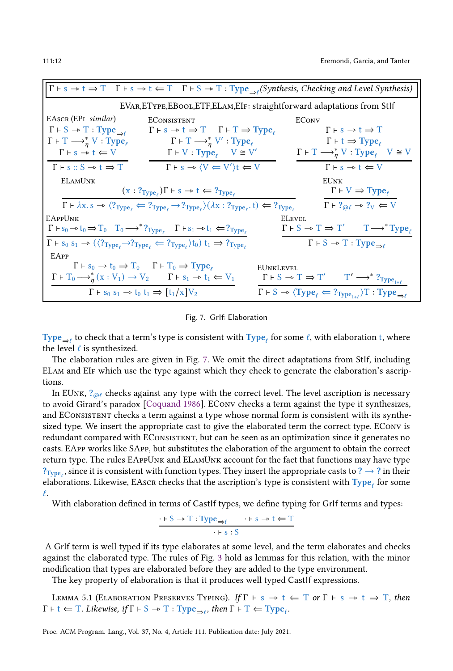<span id="page-11-0"></span>

|                                                                                                   | $\Gamma \vdash s \to t \Rightarrow T$ $\Gamma \vdash s \to t \Leftarrow T$ $\Gamma \vdash S \to T$ : Type $\bigcirc$ (Synthesis, Checking and Level Synthesis)        |                  |                                                                                                                                              |
|---------------------------------------------------------------------------------------------------|-----------------------------------------------------------------------------------------------------------------------------------------------------------------------|------------------|----------------------------------------------------------------------------------------------------------------------------------------------|
|                                                                                                   | EVAR, ETYPE, EBOOL, ETF, ELAM, EIF: straightforward adaptations from Stlf                                                                                             |                  |                                                                                                                                              |
| EAscr (EPI similar)                                                                               | <b>ECONSISTENT</b>                                                                                                                                                    | <b>ECONV</b>     |                                                                                                                                              |
| $\Gamma \vdash S \rightarrow T : Type_{\Rightarrow \ell}$                                         | $\Gamma \vdash s \rightarrow t \Rightarrow T \quad \Gamma \vdash T \Rightarrow \text{Type}_e$                                                                         |                  | $\Gamma \vdash s \rightarrow t \Rightarrow T$                                                                                                |
| $\Gamma \vdash \Gamma \longrightarrow_n^* V : Type_{\ell}$                                        | $\Gamma \vdash T \longrightarrow_n^* V'$ : Type <sub>l</sub>                                                                                                          |                  | $\Gamma \vdash t \Rightarrow \text{Type}_e$                                                                                                  |
| $\Gamma \vdash s \rightarrow t \Leftarrow V$                                                      | $\Gamma$ + V : Type <sub><math>\ell</math></sub> V $\cong$ V'                                                                                                         |                  | $\Gamma \vdash \mathrm{T} \longrightarrow_n^* V : \mathrm{Type}_\ell \quad V \cong V$                                                        |
| $\Gamma \vdash s :: S \rightarrow t \Rightarrow T$                                                | $\Gamma \vdash s \rightarrow \langle V \leftarrow V' \rangle t \leftarrow V$                                                                                          |                  | $\Gamma \vdash s \rightarrow t \Leftarrow V$                                                                                                 |
| <b>ELAMUNK</b>                                                                                    |                                                                                                                                                                       |                  | <b>EUNK</b>                                                                                                                                  |
|                                                                                                   | $(x : ?_{Type_e}) \Gamma \vdash s \rightarrow t \Leftarrow ?_{Type_e}$                                                                                                |                  | $\Gamma \vdash V \Rightarrow \text{Type}_e$                                                                                                  |
|                                                                                                   | $\Gamma \vdash \lambda x. s \rightarrow \langle ?_{Type} \rangle \Leftarrow ?_{Type} \rightarrow ?_{Type} \rangle (\lambda x : ?_{Type} \cdot t) \Leftarrow ?_{Type}$ |                  | $\Gamma \vdash ?_{\text{def}} \rightarrow ?_{\text{V}} \Leftarrow \text{V}$                                                                  |
| <b>EAPPUNK</b>                                                                                    |                                                                                                                                                                       | <b>ELEVEL</b>    |                                                                                                                                              |
|                                                                                                   | $\Gamma \vdash s_0 \rightarrow t_0 \Rightarrow T_0$ $T_0 \rightarrow^* ?_{Type_e}$ $\Gamma \vdash s_1 \rightarrow t_1 \Leftarrow ?_{Type_e}$                          |                  | $\Gamma \vdash S \rightarrow T \Rightarrow T'$ $T \rightarrow^* \text{Type}_e$                                                               |
|                                                                                                   | $\Gamma \vdash s_0 s_1 \rightarrow (\langle ?_{Type} \rightarrow ?_{Type} \in ?_{Type} \rangle t_0) t_1 \Rightarrow ?_{Type}$                                         |                  | $\Gamma \vdash S \rightarrow T : Type_{\Rightarrow \ell}$                                                                                    |
| EAPP                                                                                              |                                                                                                                                                                       |                  |                                                                                                                                              |
| $\Gamma \vdash s_0 \rightarrow t_0 \Rightarrow T_0$ $\Gamma \vdash T_0 \Rightarrow \text{Type}_e$ |                                                                                                                                                                       | <b>EUNKLEVEL</b> |                                                                                                                                              |
|                                                                                                   | $\Gamma \vdash T_0 \longrightarrow_{n}^{*} (X: V_1) \longrightarrow V_2$ $\Gamma \vdash s_1 \rightarrow t_1 \Leftarrow V_1$                                           |                  | $\Gamma \vdash S \rightarrow T \Rightarrow T' \qquad T' \rightarrow^* ?_{Type_{1+\ell}}$                                                     |
| $\Gamma \vdash s_0 s_1 \rightarrow t_0 t_1 \Rightarrow [t_1/x] V_2$                               |                                                                                                                                                                       |                  | $\Gamma \vdash S \rightarrow \langle \text{Type}_\ell \Leftarrow ?_{\text{Type}_{1+\ell}} \rangle \text{T} : \text{Type}_{\Rightarrow \ell}$ |

Fig. 7. GrIf: Elaboration

Type $_{\Rightarrow \ell}$  to check that a term's type is consistent with Type $_\ell$  for some  $\ell$ , with elaboration t, where the level  $\ell$  is synthesized.

The elaboration rules are given in Fig. [7.](#page-11-0) We omit the direct adaptations from StIf, including ELam and EIf which use the type against which they check to generate the elaboration's ascriptions.

In EUNK,  $?_{\odot}$  checks against any type with the correct level. The level ascription is necessary to avoid Girard's paradox [\[Coquand 1986](#page-27-12)]. EConv checks a term against the type it synthesizes, and EConsistent checks a term against a type whose normal form is consistent with its synthesized type. We insert the appropriate cast to give the elaborated term the correct type. EConv is redundant compared with EConsistent, but can be seen as an optimization since it generates no casts. EApp works like SApp, but substitutes the elaboration of the argument to obtain the correct return type. The rules EAppUnk and ELamUnk account for the fact that functions may have type  $?_{Type_{\ell}}$ , since it is consistent with function types. They insert the appropriate casts to ?  $\rightarrow$  ? in their elaborations. Likewise, EAsc ${\rm r}$  checks that the ascription's type is consistent with  ${\rm Type}_{\ell}$  for some  $\ell$ .

With elaboration defined in terms of CastIf types, we define typing for GrIf terms and types:

$$
\cdot \vdash S \rightarrow T : Type_{\Rightarrow \ell} \quad \cdot \vdash s \rightarrow t \Leftarrow T
$$
  

$$
\cdot \vdash s : S
$$

A GrIf term is well typed if its type elaborates at some level, and the term elaborates and checks against the elaborated type. The rules of Fig. [3](#page-7-1) hold as lemmas for this relation, with the minor modification that types are elaborated before they are added to the type environment.

The key property of elaboration is that it produces well typed CastIf expressions.

LEMMA 5.1 (ELABORATION PRESERVES TYPING). If  $\Gamma \vdash s \rightarrow t \Leftarrow T$  or  $\Gamma \vdash s \rightarrow t \Rightarrow T$ , then  $\Gamma \vdash t \Leftarrow T$ . Likewise, if  $\Gamma \vdash S \rightarrow T : Type_{\Rightarrow \ell}$ , then  $\Gamma \vdash T \Leftarrow Type_{\ell}$ .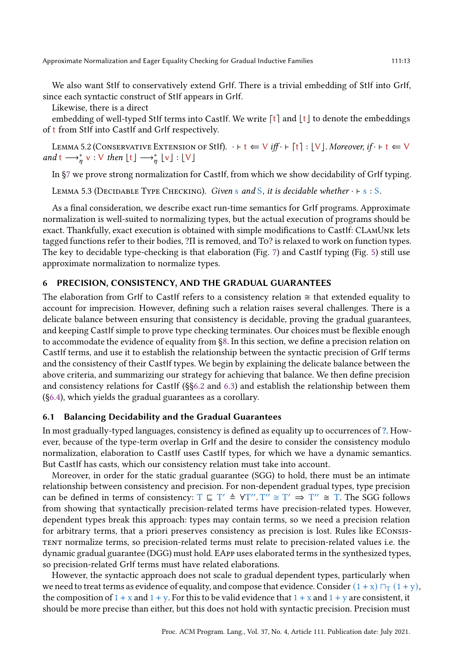We also want StIf to conservatively extend GrIf. There is a trivial embedding of StIf into GrIf, since each syntactic construct of StIf appears in GrIf.

Likewise, there is a direct

embedding of well-typed StIf terms into CastIf. We write  $\lceil t \rceil$  and  $\lfloor t \rfloor$  to denote the embeddings of t from StIf into CastIf and GrIf respectively.

LEMMA 5.2 (CONSERVATIVE EXTENSION OF StIf).  $\cdot \vdash t \Leftarrow \vee \textit{iff} \cdot \vdash [t] : \lfloor \vee \rfloor$ . Moreover, if  $\cdot \vdash t \Leftarrow \vee$ and  $t \longrightarrow_{\eta}^* v : V$  then  $\lfloor t \rfloor \longrightarrow_{\eta}^* \lfloor v \rfloor : \lfloor V \rfloor$ 

In [§7](#page-16-0) we prove strong normalization for CastIf, from which we show decidability of GrIf typing.

LEMMA 5.3 (DECIDABLE TYPE CHECKING). Given s and S, it is decidable whether  $\cdot \vdash s : S$ .

As a final consideration, we describe exact run-time semantics for GrIf programs. Approximate normalization is well-suited to normalizing types, but the actual execution of programs should be exact. Thankfully, exact execution is obtained with simple modifications to CastIf: CLamUnk lets tagged functions refer to their bodies, ?Π is removed, and To? is relaxed to work on function types. The key to decidable type-checking is that elaboration (Fig. [7\)](#page-11-0) and CastIf typing (Fig. [5\)](#page-8-1) still use approximate normalization to normalize types.

## <span id="page-12-0"></span>6 PRECISION, CONSISTENCY, AND THE GRADUAL GUARANTEES

The elaboration from GrIf to CastIf refers to a consistency relation  $\cong$  that extended equality to account for imprecision. However, defining such a relation raises several challenges. There is a delicate balance between ensuring that consistency is decidable, proving the gradual guarantees, and keeping CastIf simple to prove type checking terminates. Our choices must be flexible enough to accommodate the evidence of equality from [§8.](#page-19-0) In this section, we define a precision relation on CastIf terms, and use it to establish the relationship between the syntactic precision of GrIf terms and the consistency of their CastIf types. We begin by explaining the delicate balance between the above criteria, and summarizing our strategy for achieving that balance. We then define precision and consistency relations for CastIf (§[§6.2](#page-13-0) and [6.3\)](#page-14-0) and establish the relationship between them ([§6.4\)](#page-15-0), which yields the gradual guarantees as a corollary.

#### 6.1 Balancing Decidability and the Gradual Guarantees

In most gradually-typed languages, consistency is defined as equality up to occurrences of ?. However, because of the type-term overlap in GrIf and the desire to consider the consistency modulo normalization, elaboration to CastIf uses CastIf types, for which we have a dynamic semantics. But CastIf has casts, which our consistency relation must take into account.

Moreover, in order for the static gradual guarantee (SGG) to hold, there must be an intimate relationship between consistency and precision. For non-dependent gradual types, type precision can be defined in terms of consistency:  $T \subseteq T' \triangleq \forall T''$ .  $T'' \cong T' \Rightarrow T'' \cong T$ . The SGG follows from showing that syntactically precision-related terms have precision-related types. However, dependent types break this approach: types may contain terms, so we need a precision relation for arbitrary terms, that a priori preserves consistency as precision is lost. Rules like EConsistent normalize terms, so precision-related terms must relate to precision-related values i.e. the dynamic gradual guarantee (DGG) must hold. EApp uses elaborated terms in the synthesized types, so precision-related GrIf terms must have related elaborations.

However, the syntactic approach does not scale to gradual dependent types, particularly when we need to treat terms as evidence of equality, and compose that evidence. Consider  $(1 + x) \sqcap_T (1 + y)$ , the composition of  $1 + x$  and  $1 + y$ . For this to be valid evidence that  $1 + x$  and  $1 + y$  are consistent, it should be more precise than either, but this does not hold with syntactic precision. Precision must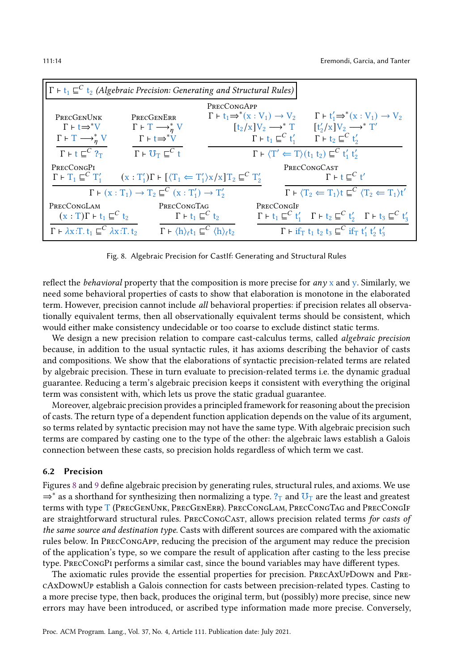<span id="page-13-1"></span>

|                                                                       | $\Gamma \vdash t_1 \sqsubseteq^C t_2$ (Algebraic Precision: Generating and Structural Rules)                                                  |                                                           |                                        |                                                                                                                                                            |
|-----------------------------------------------------------------------|-----------------------------------------------------------------------------------------------------------------------------------------------|-----------------------------------------------------------|----------------------------------------|------------------------------------------------------------------------------------------------------------------------------------------------------------|
|                                                                       |                                                                                                                                               | PRECCONGAPP                                               |                                        |                                                                                                                                                            |
| PRECGENUNK                                                            | PRECGENERR                                                                                                                                    | $\Gamma \vdash t_1 \Rightarrow^* (x:V_1) \rightarrow V_2$ |                                        | $\Gamma \vdash t'_1 \Rightarrow^* (x:V_1) \rightarrow V_2$                                                                                                 |
| $\Gamma \vdash t \Rightarrow^* V$                                     | $\Gamma \vdash \top \longrightarrow_{\eta}^* V$                                                                                               | $[t_2/x]V_2 \longrightarrow^* T$                          |                                        | $[t'_2/x]V_2 \longrightarrow^* T'$                                                                                                                         |
| $\Gamma \vdash \Gamma \longrightarrow_n^* V$                          | $\Gamma \vdash t \Rightarrow^* V$                                                                                                             |                                                           | $\Gamma \vdash t_1 \sqsubseteq^C t'_1$ | $\Gamma$ + $t_2 \sqsubseteq^C t'_2$                                                                                                                        |
| $\Gamma$ + t $\sqsubseteq^C$ ? <sub>T</sub>                           | $\Gamma \vdash U_{\Gamma} \sqsubseteq^C t$                                                                                                    |                                                           |                                        | $\Gamma \vdash \langle T' \Leftarrow T \rangle (t_1 t_2) \sqsubseteq^C t'_1 t'_2$                                                                          |
| PRECCONGPI                                                            |                                                                                                                                               |                                                           |                                        | <b>PRECCONGCAST</b>                                                                                                                                        |
|                                                                       | $\Gamma \vdash T_1 \sqsubseteq^C T_1'$ $(x : T_1')\Gamma \vdash [\langle T_1 \Leftarrow T_1' \rangle \times \langle X]T_2 \sqsubseteq^C T_2'$ |                                                           |                                        | $\Gamma$ + t $\Gamma^C$ t'                                                                                                                                 |
|                                                                       | $\Gamma \vdash (x : T_1) \rightarrow T_2 \sqsubseteq^C (x : T'_1) \rightarrow T'_2$                                                           |                                                           |                                        | $\Gamma \vdash \langle T_2 \Leftarrow T_1 \rangle t \sqsubseteq^C \langle T_2 \Leftarrow T_1 \rangle t'$                                                   |
| PRECCONGLAM                                                           | PRECCONGTAG                                                                                                                                   |                                                           | PRECCONGIF                             |                                                                                                                                                            |
| $(x: T)\Gamma \vdash t_1 \sqsubseteq^C t_2$                           | $\Gamma$ + $t_1 \sqsubseteq^C t_2$                                                                                                            |                                                           |                                        | $\Gamma$ + $t_1 \sqsubseteq^C t'_1$ $\Gamma$ + $t_2 \sqsubseteq^C t'_2$ $\Gamma$ + $t_3 \sqsubseteq^C t'_3$                                                |
| $\Gamma \vdash \lambda x$ :T. $t_1 \sqsubseteq^C \lambda x$ :T. $t_2$ | $\Gamma \vdash \langle h \rangle_{\ell} t_1 \sqsubseteq^C \langle h \rangle_{\ell} t_2$                                                       |                                                           |                                        | $\Gamma$ + if <sub>T</sub> t <sub>1</sub> t <sub>2</sub> t <sub>3</sub> $\sqsubseteq^C$ if <sub>T</sub> t <sub>1</sub> ' t <sub>2</sub> ' t <sub>3</sub> ' |

Fig. 8. Algebraic Precision for CastIf: Generating and Structural Rules

reflect the *behavioral* property that the composition is more precise for *any*  $x$  and  $y$ . Similarly, we need some behavioral properties of casts to show that elaboration is monotone in the elaborated term. However, precision cannot include all behavioral properties: if precision relates all observationally equivalent terms, then all observationally equivalent terms should be consistent, which would either make consistency undecidable or too coarse to exclude distinct static terms.

We design a new precision relation to compare cast-calculus terms, called *algebraic precision* because, in addition to the usual syntactic rules, it has axioms describing the behavior of casts and compositions. We show that the elaborations of syntactic precision-related terms are related by algebraic precision. These in turn evaluate to precision-related terms i.e. the dynamic gradual guarantee. Reducing a term's algebraic precision keeps it consistent with everything the original term was consistent with, which lets us prove the static gradual guarantee.

Moreover, algebraic precision provides a principled framework for reasoning about the precision of casts. The return type of a dependent function application depends on the value of its argument, so terms related by syntactic precision may not have the same type. With algebraic precision such terms are compared by casting one to the type of the other: the algebraic laws establish a Galois connection between these casts, so precision holds regardless of which term we cast.

#### <span id="page-13-0"></span>6.2 Precision

Figures [8](#page-13-1) and [9](#page-14-1) define algebraic precision by generating rules, structural rules, and axioms. We use  $\Rightarrow^*$  as a shorthand for synthesizing then normalizing a type.  $?_T$  and  $\sigma$ <sub>T</sub> are the least and greatest terms with type T (PrecGenUnk, PrecGenErr). PrecCongLam, PrecCongTag and PrecCongIf are straightforward structural rules. PrecCongCast, allows precision related terms for casts of the same source and destination type. Casts with different sources are compared with the axiomatic rules below. In PrecCongApp, reducing the precision of the argument may reduce the precision of the application's type, so we compare the result of application after casting to the less precise type. PrecCongPi performs a similar cast, since the bound variables may have different types.

The axiomatic rules provide the essential properties for precision. PrecAxUpDown and PrecAxDownUp establish a Galois connection for casts between precision-related types. Casting to a more precise type, then back, produces the original term, but (possibly) more precise, since new errors may have been introduced, or ascribed type information made more precise. Conversely,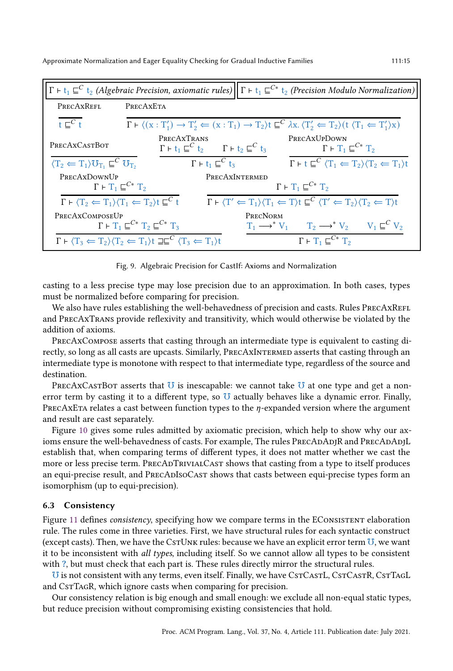<span id="page-14-1"></span>

|                                                                    | $\Gamma$ + $t_1 \subseteq^C t_2$ (Algebraic Precision, axiomatic rules) $\Gamma$ + $t_1 \subseteq^{C*} t_2$ (Precision Modulo Normalization)                                                              |                                                                                                                                                                         |                                                                                                         |
|--------------------------------------------------------------------|-----------------------------------------------------------------------------------------------------------------------------------------------------------------------------------------------------------|-------------------------------------------------------------------------------------------------------------------------------------------------------------------------|---------------------------------------------------------------------------------------------------------|
| PRECAXREFL                                                         | PRECAXETA                                                                                                                                                                                                 |                                                                                                                                                                         |                                                                                                         |
| $t\sqsubset^C t$                                                   | $\Gamma \vdash \langle (x : T'_1) \rightarrow T'_2 \Leftarrow (x : T_1) \rightarrow T_2 \rangle t \sqsubseteq^C \lambda x. \langle T'_2 \Leftarrow T_2 \rangle (t \langle T_1 \Leftarrow T'_1 \rangle x)$ |                                                                                                                                                                         |                                                                                                         |
| PRECAXCASTBOT                                                      | PRECAXTRANS<br>$\Gamma \vdash t_1 \sqsubseteq^C t_2$ $\Gamma \vdash t_2 \sqsubseteq^C t_3$                                                                                                                | PRECAXUPDOWN                                                                                                                                                            | $\Gamma \vdash T_1 \sqsubseteq^{C*} T_2$                                                                |
| $\langle T_2 \leftarrow T_1 \rangle U_{T_1} \sqsubseteq^C U_{T_2}$ | $\Gamma \vdash t_1 \sqsubseteq^C t_3$                                                                                                                                                                     |                                                                                                                                                                         | $\Gamma \vdash t \sqsubseteq^C \langle T_1 \Leftarrow T_2 \rangle \langle T_2 \Leftarrow T_1 \rangle t$ |
| PRECAXDOWNUP<br>$\Gamma \vdash T_1 \sqsubseteq^{C*} T_2$           |                                                                                                                                                                                                           | PRECAXINTERMED<br>$\Gamma \vdash T_1 \sqsubseteq^{C*} T_2$                                                                                                              |                                                                                                         |
|                                                                    | $\Gamma \vdash \langle T_2 \Leftarrow T_1 \rangle \langle T_1 \Leftarrow T_2 \rangle t \sqsubseteq^C t$                                                                                                   | $\Gamma \vdash \langle T' \Leftarrow T_1 \rangle \langle T_1 \Leftarrow T \rangle t \sqsubseteq^C \langle T' \Leftarrow T_2 \rangle \langle T_2 \Leftarrow T \rangle t$ |                                                                                                         |
| PRECAXCOMPOSEUP                                                    | $\Gamma \vdash T_1 \sqsubseteq^{C*} T_2 \sqsubseteq^{C*} T_3$                                                                                                                                             | PRECNORM                                                                                                                                                                | $T_1 \longrightarrow^* V_1$ $T_2 \longrightarrow^* V_2$ $V_1 \sqsubseteq^C V_2$                         |
|                                                                    | $\Gamma \vdash \langle T_3 \leftarrow T_2 \rangle \langle T_2 \leftarrow T_1 \rangle t \sqsupseteq \sqsubseteq^C \langle T_3 \leftarrow T_1 \rangle t$                                                    |                                                                                                                                                                         | $\Gamma \vdash T_1 \sqsubseteq^{C*} T_2$                                                                |

Fig. 9. Algebraic Precision for CastIf: Axioms and Normalization

casting to a less precise type may lose precision due to an approximation. In both cases, types must be normalized before comparing for precision.

We also have rules establishing the well-behavedness of precision and casts. Rules PRECAXREFL and PrecAxTrans provide reflexivity and transitivity, which would otherwise be violated by the addition of axioms.

PrecAxCompose asserts that casting through an intermediate type is equivalent to casting directly, so long as all casts are upcasts. Similarly, PrecAxIntermed asserts that casting through an intermediate type is monotone with respect to that intermediate type, regardless of the source and destination.

PRECAXCASTBOT asserts that  $\overline{U}$  is inescapable: we cannot take  $\overline{U}$  at one type and get a nonerror term by casting it to a different type, so  $U$  actually behaves like a dynamic error. Finally, PRECAXETA relates a cast between function types to the  $\eta$ -expanded version where the argument and result are cast separately.

Figure [10](#page-15-1) gives some rules admitted by axiomatic precision, which help to show why our axioms ensure the well-behavedness of casts. For example, The rules PRECADADJR and PRECADADJL establish that, when comparing terms of different types, it does not matter whether we cast the more or less precise term. PrecAdTrivialCast shows that casting from a type to itself produces an equi-precise result, and PRECADISOCAST shows that casts between equi-precise types form an isomorphism (up to equi-precision).

#### <span id="page-14-0"></span>6.3 Consistency

Figure [11](#page-15-2) defines consistency, specifying how we compare terms in the ECONSISTENT elaboration rule. The rules come in three varieties. First, we have structural rules for each syntactic construct (except casts). Then, we have the Cs $\tau$ Unk rules: because we have an explicit error term  $U$ , we want it to be inconsistent with all types, including itself. So we cannot allow all types to be consistent with ?, but must check that each part is. These rules directly mirror the structural rules.

U is not consistent with any terms, even itself. Finally, we have CsTCAsTL, CsTCAsTR, CsTTAGL and CsTTAGR, which ignore casts when comparing for precision.

Our consistency relation is big enough and small enough: we exclude all non-equal static types, but reduce precision without compromising existing consistencies that hold.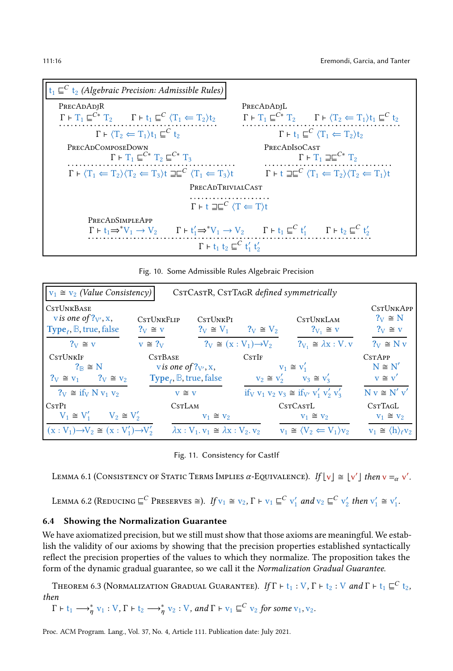<span id="page-15-1"></span>

| $t_1 \subseteq^C t_2$ (Algebraic Precision: Admissible Rules)                                                                                                              |                                                                                                                      |
|----------------------------------------------------------------------------------------------------------------------------------------------------------------------------|----------------------------------------------------------------------------------------------------------------------|
| PRECADADIR                                                                                                                                                                 | PRECADADIL                                                                                                           |
| $\Gamma \vdash T_1 \sqsubseteq^{C^*} T_2$ $\Gamma \vdash t_1 \sqsubseteq^{C} \langle T_1 \Leftarrow T_2 \rangle t_2$                                                       | $\Gamma \vdash T_1 \sqsubseteq^{C^*} T_2$ $\Gamma \vdash \langle T_2 \Leftarrow T_1 \rangle t_1 \sqsubseteq^{C} t_2$ |
| $\Gamma \vdash \langle T_2 \leftarrow T_1 \rangle t_1 \sqsubseteq^C t_2$                                                                                                   | $\Gamma \vdash t_1 \sqsubseteq^C \langle T_1 \leftarrow T_2 \rangle t_2$                                             |
| PRECADCOMPOSEDOWN                                                                                                                                                          | <b>PRECADISOCAST</b>                                                                                                 |
| $\Gamma$ + $T_1 \square^{C*}$ $T_2 \square^{C*}$ $T_3$                                                                                                                     | $\Gamma \vdash T_1 \sqsupseteq \sqsubseteq^{C*} T_2$                                                                 |
| $\Gamma \vdash \langle T_1 \leftarrow T_2 \rangle \langle T_2 \leftarrow T_3 \rangle t \sqsupseteq \sqsubseteq^C \langle T_1 \leftarrow T_3 \rangle t$                     | $\Gamma$ + $\Gamma$ $\equiv$ $\Gamma$ $(T_1 \leftarrow T_2)(T_2 \leftarrow T_1)t$                                    |
| <b>PRECADTRIVIALCAST</b>                                                                                                                                                   |                                                                                                                      |
| .<br>$\Gamma$ + $\Gamma \equiv C$ $\langle T \leftarrow T \rangle t$                                                                                                       |                                                                                                                      |
| PRECADSIMPLEAPP                                                                                                                                                            |                                                                                                                      |
| $\Gamma \vdash t_1 \Rightarrow^* V_1 \to V_2$ $\Gamma \vdash t_1' \Rightarrow^* V_1 \to V_2$ $\Gamma \vdash t_1 \sqsubseteq^C t_1'$ $\Gamma \vdash t_2 \sqsubseteq^C t_2'$ |                                                                                                                      |
| $\Gamma$ + $t_1$ $t_2 \sqsubseteq^C t'_1 t'_2$                                                                                                                             |                                                                                                                      |

Fig. 10. Some Admissible Rules Algebraic Precision

<span id="page-15-2"></span>

| $v_1 \cong v_2$ (Value Consistency)                                                 |                                           |                                                                                                   |       | CSTCASTR, CSTTAGR defined symmetrically                                        |                                                        |
|-------------------------------------------------------------------------------------|-------------------------------------------|---------------------------------------------------------------------------------------------------|-------|--------------------------------------------------------------------------------|--------------------------------------------------------|
| <b>CSTUNKBASE</b><br>v is one of $?_{V}$ , x,<br>Type <sub>f</sub> , B, true, false | <b>CSTUNKFLIP</b><br>$?_{V} \cong V$      | <b>CSTUNKPI</b><br>$?_{V} \cong V_{1}$ $?_{V} \cong V_{2}$                                        |       | CSTIJNKLAM<br>$?_{V_1} \cong V$                                                | <b>CSTUNKAPP</b><br>$?_{V} \cong N$<br>$?_{V} \cong V$ |
| $?V \cong V$                                                                        | $v \approx ?_V$                           | $?V \cong (X:V_1) \rightarrow V_2$                                                                |       | $?_{V_1} \cong \lambda x : V. v$                                               | $?_{V} \cong N_{V}$                                    |
| CSTUNKIF<br>$?_{\mathbb{R}} \cong N$<br>$?V \cong V_1$ $?V \cong V_2$               | <b>CSTBASE</b><br>vis one of $?_{V}$ , x, | $Type_{\ell}$ , B, true, false                                                                    | CSTIF | $V_1 \cong V_1'$<br>$V_2 \cong V'_2$ $V_3 \cong V'_3$                          | <b>CSTAPP</b><br>$N \cong N'$<br>$v \cong v'$          |
| $?V \cong$ if $V_1 V_2 V_3$                                                         | $v \cong v$                               |                                                                                                   |       | if <sub>V</sub> $v_1$ $v_2$ $v_3 \cong$ if <sub>V'</sub> $v'_1$ $v'_2$ $v'_3$  | $N v \cong N' v'$                                      |
| C <sub>ST</sub> P <sub>I</sub><br>$V_1 \cong V'_1$ $V_2 \cong V'_2$                 | C <sub>S</sub> TL <sub>AM</sub>           | $V_1 \cong V_2$                                                                                   |       | C <sub>s</sub> T <sub>C</sub> A <sub>s</sub> T <sub>L</sub><br>$V_1 \cong V_2$ | CstT <sub>AGL</sub><br>$V_1 \cong V_2$                 |
| $(x:V_1) \rightarrow V_2 \cong (x:V'_1) \rightarrow V'_2$                           |                                           | $\lambda$ x : V <sub>1</sub> , v <sub>1</sub> $\cong \lambda$ x : V <sub>2</sub> , v <sub>2</sub> |       | $V_1 \cong \langle V_2 \leftarrow V_1 \rangle_{V_2}$                           | $v_1 \cong \langle h \rangle_{\ell} v_2$               |

Fig. 11. Consistency for CastIf

LEMMA 6.1 (CONSISTENCY OF STATIC TERMS IMPLIES  $\alpha$ -Equivalence). If  $\lfloor v \rfloor \cong \lfloor v' \rfloor$  then  $v =_{\alpha} v'$ .

LEMMA 6.2 (REDUCING  $\subseteq^C$  PRESERVES  $\cong$ ). If  $v_1 \cong v_2$ ,  $\Gamma \vdash v_1 \sqsubseteq^C v'_1$  and  $v_2 \sqsubseteq^C v'_2$  then  $v'_1 \cong v'_1$ .

## <span id="page-15-0"></span>6.4 Showing the Normalization Guarantee

We have axiomatized precision, but we still must show that those axioms are meaningful. We establish the validity of our axioms by showing that the precision properties established syntactically reflect the precision properties of the values to which they normalize. The proposition takes the form of the dynamic gradual guarantee, so we call it the Normalization Gradual Guarantee.

<span id="page-15-3"></span>Theorem 6.3 (Normalization Gradual Guarantee). If  $\Gamma \vdash t_1 : V$ ,  $\Gamma \vdash t_2 : V$  and  $\Gamma \vdash t_1 \sqsubseteq^C t_2$ , then

 $\Gamma \vdash t_1 \longrightarrow^*_{\eta} v_1 : V, \Gamma \vdash t_2 \longrightarrow^*_{\eta} v_2 : V, \text{ and } \Gamma \vdash v_1 \sqsubseteq^C v_2 \text{ for some } v_1, v_2.$ 

Proc. ACM Program. Lang., Vol. 37, No. 4, Article 111. Publication date: July 2021.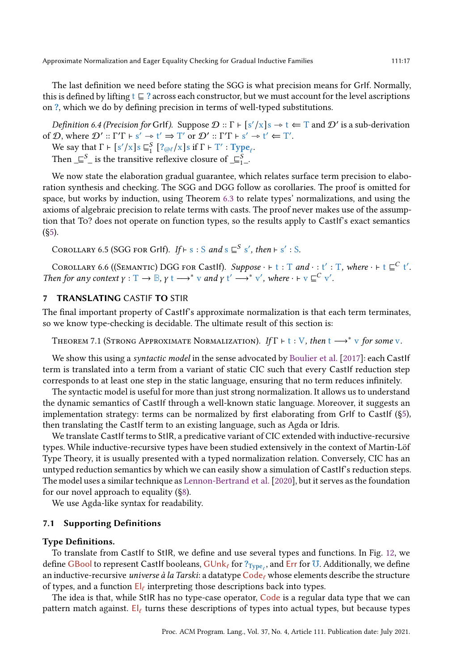The last definition we need before stating the SGG is what precision means for GrIf. Normally, this is defined by lifting t  $\subseteq$  ? across each constructor, but we must account for the level ascriptions on ?, which we do by defining precision in terms of well-typed substitutions.

Definition 6.4 (Precision for GrIf). Suppose  $\mathcal{D}$  ::  $\Gamma \vdash [s'/x]$ s  $\rightarrow t \Leftarrow T$  and  $\mathcal{D}'$  is a sub-derivation of  $\mathcal{D}$ , where  $\mathcal{D}'$  ::  $\Gamma' \Gamma \vdash s' \rightarrow t' \Rightarrow T'$  or  $\mathcal{D}'$  ::  $\Gamma' \Gamma \vdash s' \rightarrow t' \Leftarrow T'$ .

We say that  $\Gamma \vdash [s'/x] s \sqsubseteq_1^S [?_{@l}/x] s \text{ if } \Gamma \vdash T' : \text{Type}_l.$ 

Then  $\subseteq^S_-$  is the transitive reflexive closure of  $\subseteq^S_{1-}$ .

We now state the elaboration gradual guarantee, which relates surface term precision to elaboration synthesis and checking. The SGG and DGG follow as corollaries. The proof is omitted for space, but works by induction, using Theorem [6.3](#page-15-3) to relate types' normalizations, and using the axioms of algebraic precision to relate terms with casts. The proof never makes use of the assumption that To? does not operate on function types, so the results apply to CastIf's exact semantics  $(85)$ .

COROLLARY 6.5 (SGG FOR GrIf). If  $\vdash s : S$  and  $s \sqsubseteq^S s'$ , then  $\vdash s' : S$ .

COROLLARY 6.6 ((SEMANTIC) DGG FOR Castlf). Suppose  $\cdot$   $\vdash$  t: T and  $\cdot$  : t' : T, where  $\cdot$   $\vdash$  t  $\sqsubseteq^C$  t'. Then for any context  $\gamma : T \to \mathbb{B}$ ,  $\gamma$  t  $\longrightarrow^*$  v and  $\gamma$  t' $\longrightarrow^*$  v', where  $\cdot \vdash$  v  $\sqsubseteq^C$  v'.

## <span id="page-16-0"></span>7 TRANSLATING CASTIF TO STIR

The final important property of CastIf's approximate normalization is that each term terminates, so we know type-checking is decidable. The ultimate result of this section is:

THEOREM 7.1 (STRONG APPROXIMATE NORMALIZATION). If  $\Gamma \vdash t : V$ , then  $t \longrightarrow^* v$  for some v.

We show this using a syntactic model in the sense advocated by Boulier et al. [2017]: each Castlf term is translated into a term from a variant of static CIC such that every CastIf reduction step corresponds to at least one step in the static language, ensuring that no term reduces infinitely.

The syntactic model is useful for more than just strong normalization. It allows us to understand the dynamic semantics of CastIf through a well-known static language. Moreover, it suggests an implementation strategy: terms can be normalized by first elaborating from GrIf to CastIf ([§5\)](#page-10-0), then translating the CastIf term to an existing language, such as Agda or Idris.

We translate CastIf terms to StIR, a predicative variant of CIC extended with inductive-recursive types. While inductive-recursive types have been studied extensively in the context of Martin-Löf Type Theory, it is usually presented with a typed normalization relation. Conversely, CIC has an untyped reduction semantics by which we can easily show a simulation of CastIf's reduction steps. The model uses a similar technique as [Lennon-Bertrand et al.\[2020\]](#page-27-5), but it serves as the foundation for our novel approach to equality ([§8\)](#page-19-0).

We use Agda-like syntax for readability.

#### 7.1 Supporting Definitions

#### Type Definitions.

To translate from CastIf to StIR, we define and use several types and functions. In Fig. [12,](#page-17-0) we define GBool to represent CastIf booleans,  $GUnk_\ell$  for  $?_{Type_\ell}$ , and Err for U. Additionally, we define an inductive-recursive *universe à la Tarski*: a datatype  $Code_\ell$  whose elements describe the structure of types, and a function  $El_{\ell}$  interpreting those descriptions back into types.

The idea is that, while StIR has no type-case operator, Code is a regular data type that we can pattern match against. El<sub> $\ell$ </sub> turns these descriptions of types into actual types, but because types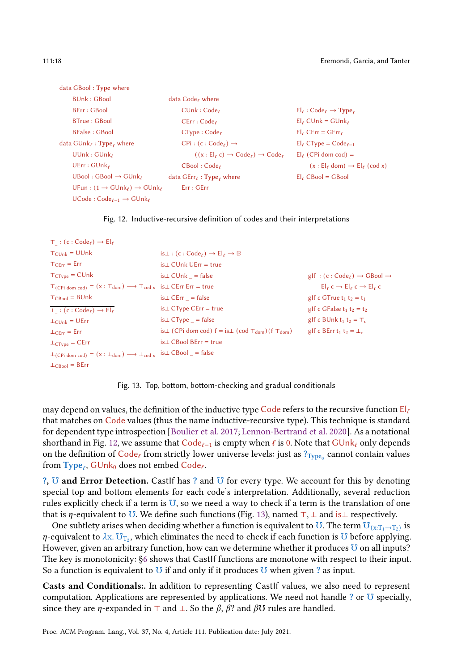<span id="page-17-0"></span>

| data GBool: Type where                                      |                                                    |                                                   |
|-------------------------------------------------------------|----------------------------------------------------|---------------------------------------------------|
| <b>BUnk: GBool</b>                                          | data Code, where                                   |                                                   |
| BErr: GBool                                                 | CUnk:Code                                          | $El_{\ell} : Code_{\ell} \rightarrow Type_{\ell}$ |
| <b>BTrue: GBool</b>                                         | $CErr : Code_{\ell}$                               | $El_{\ell}$ CUnk = GUnk $_{\ell}$                 |
| <b>BFalse: GBool</b>                                        | $CType:Code_{\ell}$                                | $El_{\ell}$ CErr = GErr $_{\ell}$                 |
| data $\mathsf{GUnk}_\ell : \mathsf{Type}_{\ell}$ where      | $CPi : (c : Code_{\ell}) \rightarrow$              | $El_{\ell}$ CType = Code $_{\ell-1}$              |
| UUnk: GUnk                                                  | $((x: Ele c) \rightarrow Codee) \rightarrow Codee$ | $El_{\ell}$ (CPi dom cod) =                       |
| UErr: GUnk                                                  | $CBool:Code_\ell$                                  | $(x : Elf$ dom) $\rightarrow Elf$ (cod x)         |
| $UBool: GBool \rightarrow GUnk_{\ell}$                      | data $GErr_{\ell}$ : Type, where                   | $El$ <sub>c</sub> CBool = GBool                   |
| $UFun: (1 \rightarrow GUnk_{\ell}) \rightarrow GUnk_{\ell}$ | Err : GET                                          |                                                   |
| $UCode:Code_{\ell-1} \rightarrow GUnk_{\ell}$               |                                                    |                                                   |



```
⊤ : (c : Code_{\ell}) \rightarrow El_{\ell}T_{\text{Clink}} = \text{UUnk}T_{\text{CErr}} = \text{Err}T_{CTvpe} = CUnkT(CPi_{\text{dom cod}}) = (x : T_{\text{dom}}) \longrightarrow T_{\text{cod } x} is \perp CErr Err = true
T_{\text{CBool}} = \text{BUnk}\bot : (c : Code<sub>ℓ</sub>) \rightarrow El<sub>ℓ</sub>
\perp<sub>CUnk</sub> = UErr
\perp<sub>CErr</sub> = Err
\perp<sub>CType</sub> = CErr
\perp(CPi dom cod) = (x : \perp_{\text{dom}}) \longrightarrow \perp_{\text{cod}} x is\perp CBool = false
\perp<sub>CBool</sub> = BErr
                                                            is⊥ : (c : Code<sub>ℓ</sub>) \rightarrow El<sub>ℓ</sub> \rightarrow B
                                                             is⊥ CUnk UErr = true
                                                            is⊥ CUnk _ = false
                                                           is⊥ CErr _ = false
                                                           is⊥ CType CErr = true
                                                          is⊥ CType _ = false
                                                           is⊥ (CPi dom cod) f = is \perp (cod \top_{dom}) (f \top_{dom})is⊥ CBool BErr = true
                                                                                                                                                g \mid f : (c : Code_{\ell}) \rightarrow GBool \rightarrowEl_{\ell} c \rightarrow El_{\ell} c \rightarrow El_{\ell} cgIf c GTrue t_1 t_2 = t_1gIf c GFalse t_1 t_2 = t_2gIf c BUnk t_1 t_2 = T_cgIf c BErr t<sub>1</sub> t<sub>2</sub> = \perp<sub>c</sub>
```
Fig. 13. Top, bottom, bottom-checking and gradual conditionals

may depend on values, the definition of the inductive type Code refers to the recursive function  $E|_{\ell}$ that matches on Code values (thus the name inductive-recursive type). This technique is standard for dependent type introspection [Boulier et al. 2017; [Lennon-Bertrand et al. 2020](#page-27-5)]. As a notational shorthand in Fig. [12,](#page-17-0) we assume that  $Code_{\ell-1}$  is empty when  $\ell$  is 0. Note that  $GUnk_{\ell}$  only depends on the definition of  $\bar{\rm Code_\ell}$  from strictly lower universe levels: just as  $?\tau_{\rm \bar{y}pe_0}$  cannot contain values from  $\text{Type}_\ell$ ,  $\text{GUnk}_0$  does not embed  $\text{Code}_\ell$ .

?, U and Error Detection. Castlf has ? and U for every type. We account for this by denoting special top and bottom elements for each code's interpretation. Additionally, several reduction rules explicitly check if a term is  $U$ , so we need a way to check if a term is the translation of one that is  $\eta$ -equivalent to U. We define such functions (Fig. [13\)](#page-17-1), named ⊤, ⊥ and is⊥ respectively.

One subtlety arises when deciding whether a function is equivalent to  $\overline{U}$ . The term  $\overline{U_{(x:T_1\rightarrow T_2)}}$  is  $\eta$ -equivalent to  $\lambda$ x.  $\mathbf{U}_{T_2}$ , which eliminates the need to check if each function is  $\mathbf{U}$  before applying. However, given an arbitrary function, how can we determine whether it produces  $U$  on all inputs? The key is monotonicity: [§6](#page-12-0) shows that CastIf functions are monotone with respect to their input. So a function is equivalent to  $U$  if and only if it produces  $U$  when given ? as input.

Casts and Conditionals:. In addition to representing CastIf values, we also need to represent computation. Applications are represented by applications. We need not handle ? or U specially, since they are *η*-expanded in ⊤ and ⊥. So the  $\beta$ ,  $\beta$ ? and  $\beta$ U rules are handled.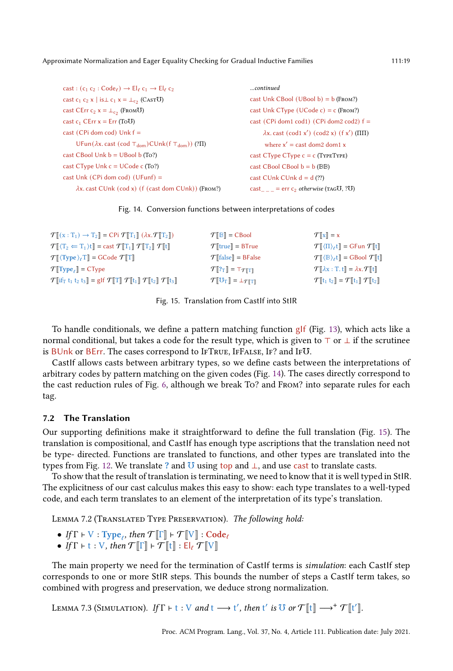```
cast : (c_1 c_2 : Code_{\ell}) \rightarrow El_{\ell} c_1 \rightarrow El_{\ell} c_2cast c<sub>1</sub> c<sub>2</sub> x | is\perp c<sub>1</sub> x = \perp<sub>c<sub>2</sub></sub> (CASTU)
\text{cast } \text{CErr } \text{c}_2 \times = \perp_{\text{c}_2} (\text{FromU})cast c_1 CErr x = Err (ToU)
cast (CPi dom cod) Unk f =
      UFun(𝜆x. cast (cod ⊤dom)CUnk(f ⊤dom)) (?Π)
cast CBool Unk b = UBool b (To?)
cast CType Unk c = UCode c (To?)
cast Unk (CPi dom cod) (UFunf) =
      \lambdax. cast CUnk (cod x) (f (cast dom CUnk)) (FROM?)
                                                                                  ...continued
                                                                                  cast Unk CBool (UBool b) = b (From?)
                                                                                  cast Unk CType (UCode c) = c (From?)
                                                                                  cast (CPi dom1 cod1) (CPi dom2 cod2) f =\lambdax. cast (cod1 x') (cod2 x) (f x') (ΠΠ)
                                                                                         where x' = \text{cast dom2 dom1 } xcast CType CType c = c (TYPETYPE)
                                                                                  cast CBool CBool b = b (BB)
                                                                                  cast CUnk CUnk d = d(?)cast_{\_ \_ \equiv} = err c_2 \ otherwise (TAGU, ?U)
```


<span id="page-18-1"></span>

| $\mathcal{T}$ $[(x : T_1) \rightarrow T_2] = CPi \mathcal{T}[T_1]$ $(\lambda x. \mathcal{T}[T_2])$                                                                                                      | $\mathcal{T}$ $\mathbb{B}$ $\mathbb{R}$ = CBool                                    | $\mathcal{T}[\mathbf{x}] = \mathbf{x}$                                                                        |
|---------------------------------------------------------------------------------------------------------------------------------------------------------------------------------------------------------|------------------------------------------------------------------------------------|---------------------------------------------------------------------------------------------------------------|
| $\mathcal{T} \llbracket \langle T_2 \leftarrow T_1 \rangle t \rrbracket = \text{cast } \mathcal{T} \llbracket T_1 \rrbracket \mathcal{T} \llbracket T_2 \rrbracket \mathcal{T} \llbracket t \rrbracket$ | $\mathcal{T}$   true] = BTrue                                                      | $\mathcal{T}(\Pi)_{\ell}$ t $\Vert = G$ Fun $\mathcal{T}[\Vert t \Vert]$                                      |
| $\mathcal{T}[\langle \text{Type} \rangle_{\ell}]\mathbb{T}$ = GCode $\mathcal{T}[\![\mathbb{T}]\!]$                                                                                                     | $\mathcal{T}$ [false] = BFalse                                                     | $\mathcal{T}[\langle \mathbb{B} \rangle_t] = \text{GBool} \mathcal{T}[t]$                                     |
| $\mathcal{T}$ $\mathbf{Type}_{\ell}$ = CType                                                                                                                                                            | $\mathcal{T}[\mathbb{R}_{\mathrm{T}}]=\top_{\mathcal{T}[\mathbb{R}]}$              | $\mathcal{T}[\lambda \mathbf{x} : \mathbf{T}, \mathbf{t}] = \lambda \mathbf{x} \cdot \mathcal{T}[\mathbf{t}]$ |
| $\mathcal{T}$ [if <sub>T</sub> t <sub>1</sub> t <sub>2</sub> t <sub>3</sub> ] = g f $\mathcal{T}$ [T] $\mathcal{T}$ [t <sub>1</sub> ] $\mathcal{T}$ [t <sub>2</sub> ] $\mathcal{T}$ [t <sub>3</sub> ]   | $\mathcal{T}[\![\mathbf{U}_\mathrm{T}]\!] = \perp_{\mathcal{T}[\![\mathbf{T}]\!]}$ | $\mathcal{T}[[t_1 t_2]] = \mathcal{T}[[t_1]] \mathcal{T}[[t_2]]$                                              |

Fig. 15. Translation from CastIf into StIR

To handle conditionals, we define a pattern matching function gIf (Fig. [13\)](#page-17-1), which acts like a normal conditional, but takes a code for the result type, which is given to  $\top$  or  $\bot$  if the scrutinee is BUnk or BErr. The cases correspond to IfTrue, IfFalse, If? and If℧.

CastIf allows casts between arbitrary types, so we define casts between the interpretations of arbitrary codes by pattern matching on the given codes (Fig. [14\)](#page-18-0). The cases directly correspond to the cast reduction rules of Fig. [6,](#page-10-1) although we break To? and From? into separate rules for each tag.

### 7.2 The Translation

Our supporting definitions make it straightforward to define the full translation (Fig. [15\)](#page-18-1). The translation is compositional, and CastIf has enough type ascriptions that the translation need not be type- directed. Functions are translated to functions, and other types are translated into the types from Fig. [12.](#page-17-0) We translate ? and  $\overline{U}$  using top and  $\bot$ , and use cast to translate casts.

To show that the result of translation is terminating, we need to know that it is well typed in StIR. The explicitness of our cast calculus makes this easy to show: each type translates to a well-typed code, and each term translates to an element of the interpretation of its type's translation.

Lemma 7.2 (Translated Type Preservation). The following hold:

- If  $\Gamma \vdash V : Type_{\ell}$ , then  $\mathcal{T}[\![\Gamma]\!] \vdash \mathcal{T}[\![V]\!] : Code_{\ell}$
- If  $\Gamma$   $\vdash$  t : V, then  $\mathcal{T}[\![\Gamma]\!]$  +  $\mathcal{T}[\![t]\!]$  :  $\mathsf{El}_\ell \mathcal{T}[\![\mathrm{V}]\!]$

The main property we need for the termination of CastIf terms is simulation: each CastIf step corresponds to one or more StIR steps. This bounds the number of steps a CastIf term takes, so combined with progress and preservation, we deduce strong normalization.

LEMMA 7.3 (SIMULATION). If  $\Gamma \vdash t : V$  and  $t \longrightarrow t'$ , then  $t'$  is  $\overline{U}$  or  $\mathcal{T}[\![t]\!] \longrightarrow^+ \mathcal{T}[\![t']\!]$ .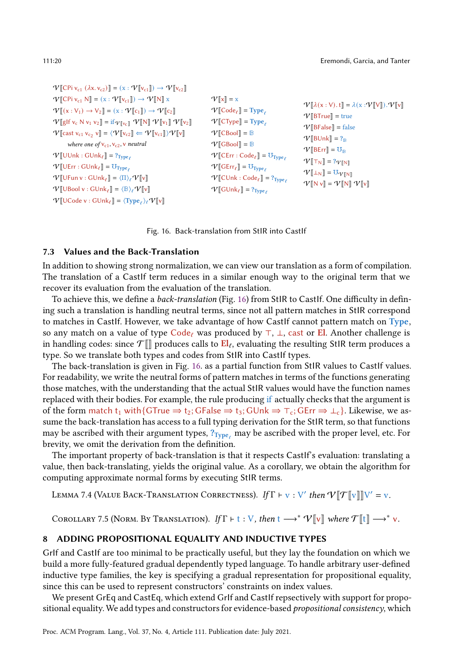<span id="page-19-1"></span>

| $\mathcal{V}$ [CPi v <sub>c1</sub> ( $\lambda$ x. v <sub>c2</sub> )] = (x : $\mathcal{V}$ [v <sub>c1</sub> ]]) $\rightarrow \mathcal{V}$ [v <sub>c2</sub> ]                                                                                                                                                                                                                                                                                                                                                                                                                                                                                 |                                                                                                                                                                                                                                                                                         |                                                                                                                                                                                                 |
|---------------------------------------------------------------------------------------------------------------------------------------------------------------------------------------------------------------------------------------------------------------------------------------------------------------------------------------------------------------------------------------------------------------------------------------------------------------------------------------------------------------------------------------------------------------------------------------------------------------------------------------------|-----------------------------------------------------------------------------------------------------------------------------------------------------------------------------------------------------------------------------------------------------------------------------------------|-------------------------------------------------------------------------------------------------------------------------------------------------------------------------------------------------|
| $\mathcal{V}$ [CPi $v_{c1}$ N] = $(x : \mathcal{V}$ [ $v_{c1}$ ]) $\rightarrow \mathcal{V}$ [N] x<br>$\mathcal{V}[[\mathbf{x}:V_1] \rightarrow V_2] = (\mathbf{x}: \mathcal{V}[[\mathbf{c}_1]]) \rightarrow \mathcal{V}[[\mathbf{c}_2]]$<br>$\mathcal{V}[\![\text{glf}\;v_c\;N\;v_1\;v_2]\!] = \text{if}_{\mathcal{V}[\![v_c]\!]} \mathcal{V}[\![N]\!] \mathcal{V}[\![v_1]\!] \mathcal{V}[\![v_2]\!]$<br>$\mathcal{V}$ [cast v <sub>c1</sub> v <sub>c<sub>2</sub></sub> v] = $\langle \mathcal{V}$ [v <sub>c2</sub> ] $\Leftarrow \mathcal{V}$ [v <sub>c1</sub> ] $\rangle \mathcal{V}$ [v]<br>where one of $v_{c1}$ , $v_{c2}$ , v neutral | $\mathcal{V}$ $\mathbf{x}$ = x<br>$\mathcal{V}$ [Code <sub><math>\ell</math></sub> ] = Type <sub><math>\ell</math></sub><br>$V$ [CType] = Type <sub><math>\ell</math></sub><br>$\mathcal{V}$ [CBool] = B<br>$\mathcal{V}$ [GBool] = B                                                   | $\mathcal{V}[\lambda(\mathbf{x}:V), \mathbf{t}] = \lambda(\mathbf{x}:V[V])\mathbf{v}.V[V]$<br>$V[\text{BTrue}]$ = true<br>$V[\text{BFalse}] = \text{false}$<br>$V[\text{BUnk}] = ?_{\text{B}}$  |
| $\mathcal{V}[\![\text{UUnk}:\text{GUnk}_\ell]\!] = ?_{\text{Type}_\ell}$<br>$V[\![\text{UErr}: \text{GUnk}_{\ell}]\!] = \text{U}_{\text{Type}_{\ell}}$<br>$\mathcal{V}$ [UFun v : GUnk $_{\ell}$ ] = $\langle \Pi \rangle_{\ell} \mathcal{V}$ [v]<br>$\mathcal{V}$ [UBool v : GUnk $_{\ell}$ ] = $\langle \mathbb{B} \rangle_{\ell} \mathcal{V}$ [v]<br>$\mathcal{V}$ [UCode v : GUnk $_{\ell}$ ] = $\langle \text{Type}_{\ell} \rangle_{\ell} \mathcal{V}$ [v]                                                                                                                                                                             | $\mathcal{V}$ [CErr : Code <sub><math>\ell</math></sub> ] = $\mathrm{U_{Type}}_{\ell}$<br>$V$ [CErr <sub>e</sub> ]] = $U_{Type_e}$<br>$\mathcal{V}$ [CUnk : Code <sub><math>\ell</math></sub> ] = ? <sub>Type<math>_{\ell}</math></sub><br>$V[\text{GUnk}_\ell] = ?_{\text{Type}_\ell}$ | $V[\text{BErr}] = \mathbf{U}_{\text{B}}$<br>$\mathcal{V}[\mathsf{T}_{\mathsf{N}}] = ?_{\mathcal{V}[\mathsf{N}]}$<br>$V[\mathbb{L}_N] = U_{V[\![N]\!]}$<br>$V[N\mathbf{v}] = V[N] V[\mathbf{v}]$ |

Fig. 16. Back-translation from StIR into CastIf

#### 7.3 Values and the Back-Translation

In addition to showing strong normalization, we can view our translation as a form of compilation. The translation of a CastIf term reduces in a similar enough way to the original term that we recover its evaluation from the evaluation of the translation.

To achieve this, we define a *back-translation* (Fig. [16\)](#page-19-1) from StIR to CastIf. One difficulty in defining such a translation is handling neutral terms, since not all pattern matches in StIR correspond to matches in CastIf. However, we take advantage of how CastIf cannot pattern match on Type, so any match on a value of type Code<sub>ℓ</sub> was produced by  $\top$ ,  $\bot$ , cast or **El**. Another challenge is in handling codes: since  $\mathcal{T}[\hspace{-1.5pt}[ ]\hspace{1.5pt}]$  produces calls to  $\text{El}_\ell$ , evaluating the resulting StIR term produces a type. So we translate both types and codes from StIR into CastIf types.

The back-translation is given in Fig. [16.](#page-19-1) as a partial function from StIR values to CastIf values. For readability, we write the neutral forms of pattern matches in terms of the functions generating those matches, with the understanding that the actual StIR values would have the function names replaced with their bodies. For example, the rule producing if actually checks that the argument is of the form match t<sub>1</sub> with{GTrue  $\Rightarrow$  t<sub>2</sub>; GFalse  $\Rightarrow$  t<sub>3</sub>; GUnk  $\Rightarrow$  ⊤<sub>c</sub>; GErr  $\Rightarrow$  ⊥<sub>c</sub>}. Likewise, we assume the back-translation has access to a full typing derivation for the StIR term, so that functions may be ascribed with their argument types,  $?_{Type}$  may be ascribed with the proper level, etc. For brevity, we omit the derivation from the definition.

The important property of back-translation is that it respects CastIf's evaluation: translating a value, then back-translating, yields the original value. As a corollary, we obtain the algorithm for computing approximate normal forms by executing StIR terms.

LEMMA 7.4 (VALUE BACK-TRANSLATION CORRECTNESS). If  $\Gamma \vdash v : V'$  then  $V[\![\mathcal{T}[[v]]\!]V' = v$ .

COROLLARY 7.5 (NORM. BY TRANSLATION). If  $\Gamma \vdash t : V$ , then  $t \longrightarrow^* V[[v]]$  where  $\mathcal{T}[[t]] \longrightarrow^* v$ .

#### <span id="page-19-0"></span>8 ADDING PROPOSITIONAL EQUALITY AND INDUCTIVE TYPES

GrIf and CastIf are too minimal to be practically useful, but they lay the foundation on which we build a more fully-featured gradual dependently typed language. To handle arbitrary user-defined inductive type families, the key is specifying a gradual representation for propositional equality, since this can be used to represent constructors' constraints on index values.

We present GrEq and CastEq, which extend GrIf and CastIf repsectively with support for propositional equality. We add types and constructors for evidence-based propositional consistency, which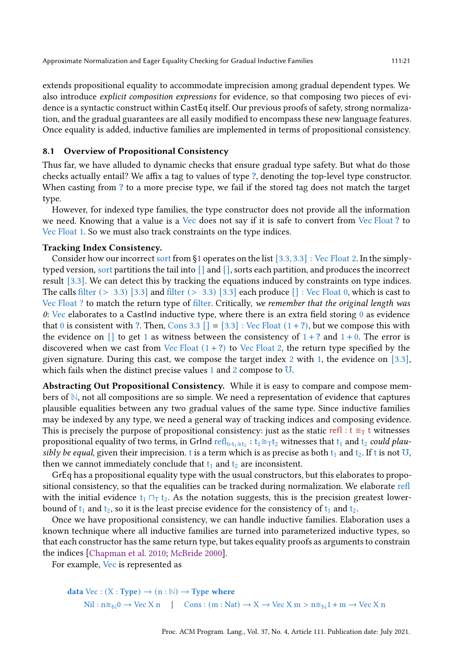extends propositional equality to accommodate imprecision among gradual dependent types. We also introduce explicit composition expressions for evidence, so that composing two pieces of evidence is a syntactic construct within CastEq itself. Our previous proofs of safety, strong normalization, and the gradual guarantees are all easily modified to encompass these new language features. Once equality is added, inductive families are implemented in terms of propositional consistency.

## 8.1 Overview of Propositional Consistency

Thus far, we have alluded to dynamic checks that ensure gradual type safety. But what do those checks actually entail? We affix a tag to values of type ?, denoting the top-level type constructor. When casting from ? to a more precise type, we fail if the stored tag does not match the target type.

However, for indexed type families, the type constructor does not provide all the information we need. Knowing that a value is a Vec does not say if it is safe to convert from Vec Float ? to Vec Float 1. So we must also track constraints on the type indices.

#### Tracking Index Consistency.

Consider how our incorrect sort from [§1](#page-0-0) operates on the list [3.3, 3.3] : Vec Float 2. In the simplytyped version, sort partitions the tail into [] and [], sorts each partition, and produces the incorrect result [3.3]. We can detect this by tracking the equations induced by constraints on type indices. The calls filter  $(> 3.3)$  [3.3] and filter  $(> 3.3)$  [3.3] each produce  $[]$  : Vec Float 0, which is cast to Vec Float ? to match the return type of filter. Critically, we remember that the original length was  $0:$  Vec elaborates to a CastInd inductive type, where there is an extra field storing  $0$  as evidence that 0 is consistent with ?. Then, Cons 3.3  $[$  = [3.3] : Vec Float  $(1 + ?)$ , but we compose this with the evidence on  $\lceil \rceil$  to get 1 as witness between the consistency of  $1 + ?$  and  $1 + 0$ . The error is discovered when we cast from Vec Float  $(1 + ?)$  to Vec Float 2, the return type specified by the given signature. During this cast, we compose the target index 2 with 1, the evidence on [3.3], which fails when the distinct precise values 1 and 2 compose to  $U$ .

Abstracting Out Propositional Consistency. While it is easy to compare and compose members of **N**, not all compositions are so simple. We need a representation of evidence that captures plausible equalities between any two gradual values of the same type. Since inductive families may be indexed by any type, we need a general way of tracking indices and composing evidence. This is precisely the purpose of propositional consistency: just as the static refl : t  $\equiv_T t$  witnesses propositional equality of two terms, in GrInd  $\text{refl}_{t+t_1\cong t_2}: t_1\cong_\text{T} t_2$  witnesses that  $t_1$  and  $t_2$  could plausibly be equal, given their imprecision. t is a term which is as precise as both  $t_1$  and  $t_2$ . If t is not  $\overline{U}$ , then we cannot immediately conclude that  $t_1$  and  $t_2$  are inconsistent.

GrEq has a propositional equality type with the usual constructors, but this elaborates to propositional consistency, so that the equalities can be tracked during normalization. We elaborate refl with the initial evidence  $t_1 \Box_T t_2$ . As the notation suggests, this is the precision greatest lowerbound of  $t_1$  and  $t_2$ , so it is the least precise evidence for the consistency of  $t_1$  and  $t_2$ .

Once we have propositional consistency, we can handle inductive families. Elaboration uses a known technique where all inductive families are turned into parameterized inductive types, so that each constructor has the same return type, but takes equality proofs as arguments to constrain the indices [\[Chapman et al. 2010](#page-26-2); [McBride 2000\]](#page-27-13).

For example, Vec is represented as

```
data Vec : (X : Type) \rightarrow (n : N) \rightarrow Type where
       Nil : n \cong_{\mathbb{N}} 0 \to \text{Vec } X n | Cons : (m : \text{Nat}) \to X \to \text{Vec } X m > n \cong_{\mathbb{N}} 1 + m \to \text{Vec } X n
```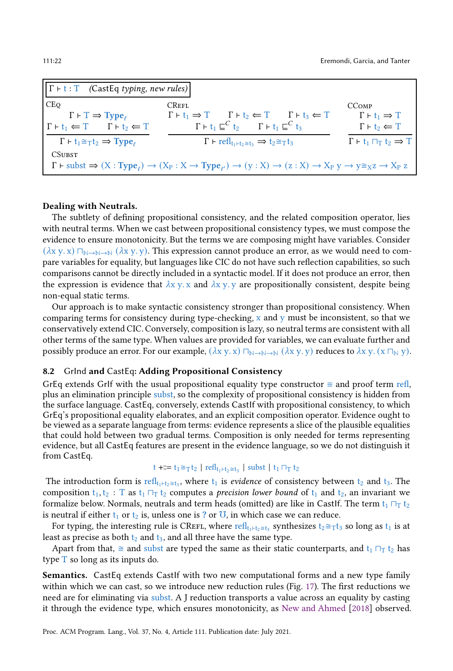| $\left\vert \Gamma \vdash t : T \right\vert$ (CastEq typing, new rules)                                                                                                                                          |                                                                                                                                                   |                                                |  |
|------------------------------------------------------------------------------------------------------------------------------------------------------------------------------------------------------------------|---------------------------------------------------------------------------------------------------------------------------------------------------|------------------------------------------------|--|
| <b>CEO</b>                                                                                                                                                                                                       | <b>CREFL</b>                                                                                                                                      | CC <sub>OMP</sub>                              |  |
| $\Gamma \vdash \Gamma \Rightarrow \text{Type}_e$                                                                                                                                                                 | $\Gamma \vdash t_1 \Rightarrow T \qquad \Gamma \vdash t_2 \Leftarrow T \qquad \Gamma \vdash t_3 \Leftarrow T$                                     | $\Gamma \vdash t_1 \Rightarrow T$              |  |
| $\Gamma \vdash t_1 \Leftarrow T \qquad \Gamma \vdash t_2 \Leftarrow T$                                                                                                                                           | $\Gamma \vdash t_1 \sqsubseteq^C t_2$ $\Gamma \vdash t_1 \sqsubseteq^C t_3$                                                                       | $\Gamma \vdash t_2 \Leftarrow T$               |  |
| $\Gamma \vdash t_1 \cong_T t_2 \Rightarrow \text{Type}_e$                                                                                                                                                        | $\Gamma$ + refl <sub>t1+t<sub>2</sub><math>\cong</math>t<sub>3</sub> <math>\Rightarrow</math> t<sub>2</sub><math>\cong</math>Tt<sub>3</sub></sub> | $\Gamma \vdash t_1 \sqcap_T t_2 \Rightarrow T$ |  |
| <b>CSUBST</b>                                                                                                                                                                                                    |                                                                                                                                                   |                                                |  |
| $\Gamma \vdash \text{subst} \Rightarrow (X : \text{Type}_e) \rightarrow (X_P : X \rightarrow \text{Type}_e) \rightarrow (y : X) \rightarrow (z : X) \rightarrow X_P y \rightarrow y \cong_X z \rightarrow X_P z$ |                                                                                                                                                   |                                                |  |

## Dealing with Neutrals.

The subtlety of defining propositional consistency, and the related composition operator, lies with neutral terms. When we cast between propositional consistency types, we must compose the evidence to ensure monotonicity. But the terms we are composing might have variables. Consider  $(\lambda x y. x)$   $\Box_{N\rightarrow N\rightarrow N} (\lambda x y. y)$ . This expression cannot produce an error, as we would need to compare variables for equality, but languages like CIC do not have such reflection capabilities, so such comparisons cannot be directly included in a syntactic model. If it does not produce an error, then the expression is evidence that  $\lambda x$  y. x and  $\lambda x$  y. y are propositionally consistent, despite being non-equal static terms.

Our approach is to make syntactic consistency stronger than propositional consistency. When comparing terms for consistency during type-checking,  $x$  and  $y$  must be inconsistent, so that we conservatively extend CIC. Conversely, composition is lazy, so neutral terms are consistent with all other terms of the same type. When values are provided for variables, we can evaluate further and possibly produce an error. For our example,  $(\lambda x y. x) \square_{\mathbb{N} \to \mathbb{N}} (\lambda x y. y)$  reduces to  $\lambda x y. (x \square_{\mathbb{N}} y)$ .

## 8.2 GrInd and CastEq: Adding Propositional Consistency

GrEq extends GrIf with the usual propositional equality type constructor  $\equiv$  and proof term refl, plus an elimination principle subst, so the complexity of propositional consistency is hidden from the surface language. CastEq, conversely, extends CastIf with propositional consistency, to which GrEq's propositional equality elaborates, and an explicit composition operator. Evidence ought to be viewed as a separate language from terms: evidence represents a slice of the plausible equalities that could hold between two gradual terms. Composition is only needed for terms representing evidence, but all CastEq features are present in the evidence language, so we do not distinguish it from CastEq.

## t +<mark>:=</mark> t<sub>1</sub>≅ $\tau$ t<sub>2</sub> | refl<sub>t1</sub>⊦t<sub>2</sub>≅t<sub>3</sub> | subst | t<sub>1</sub>  $\sqcap_T$  t<sub>2</sub>

The introduction form is  $\text{refl}_{t_1+t_2\cong t_3}$ , where  $t_1$  is *evidence* of consistency between  $t_2$  and  $t_3$ . The composition  $t_1, t_2$ : T as  $t_1 \sqcap_T t_2$  computes a *precision lower bound* of  $t_1$  and  $t_2$ , an invariant we formalize below. Normals, neutrals and term heads (omitted) are like in CastIf. The term  $t_1 \sqcap_T t_2$ is neutral if either  $t_1$  or  $t_2$  is, unless one is ? or  $\overline{U}$ , in which case we can reduce.

For typing, the interesting rule is CREFL, where  $\text{refl}_{t_1+t_2\cong t_3}$  synthesizes  $t_2{\cong_T}t_3$  so long as  $t_1$  is at least as precise as both  $t_2$  and  $t_3$ , and all three have the same type.

Apart from that,  $\cong$  and subst are typed the same as their static counterparts, and t<sub>1</sub>  $\Box$ T t<sub>2</sub> has type T so long as its inputs do.

Semantics. CastEq extends CastIf with two new computational forms and a new type family within which we can cast, so we introduce new reduction rules (Fig. [17\)](#page-22-0). The first reductions we need are for eliminating via subst. A J reduction transports a value across an equality by casting it through the evidence type, which ensures monotonicity, as New and Ahmed [2018] observed.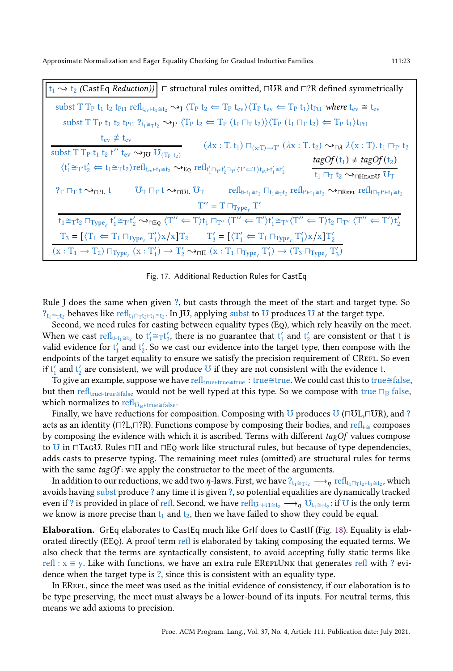<span id="page-22-0"></span> $t_1$   $\rightsquigarrow$   $t_2$  (CastEq *Reduction*))  $\Box$  structural rules omitted,  $\Box$ OR and  $\Box$ ?R defined symmetrically subst T T<sub>P</sub> t<sub>1</sub> t<sub>2</sub> t<sub>Pt1</sub> refl<sub>tev</sub> $\vdash$ t<sub>1</sub>  $\cong$  t<sub>2</sub>  $\leadsto$  T<sub>P</sub> t<sub>ev</sub>) $\langle$ T<sub>P</sub> t<sub>ev</sub>  $\Leftarrow$  T<sub>P</sub> t<sub>1</sub>) t<sub>Pt1</sub> where t<sub>ev</sub>  $\cong$  t<sub>ev</sub> subst T T<sub>P</sub> t<sub>1</sub> t<sub>2</sub> t<sub>Pt1</sub>  $?_{t_1 \cong \tau t_2} \rightarrow_T \langle T_P t_2 \leftarrow T_P (t_1 \sqcap_T t_2) \rangle \langle T_P (t_1 \sqcap_T t_2) \leftarrow T_P t_1 \rangle t_{Pt1}$  $t_{ev} \not\equiv t_{ev}$  $\frac{f_{ev} + f_{ev}}{f}$ <br>
subst T T<sub>P</sub> t<sub>1</sub> t<sub>2</sub> t'' t<sub>ev</sub>  $\leadsto_{JU} U_{(T_P t_2)}$   $(\lambda x : T, t_1) \sqcap_{(x:T) \to T'} (\lambda x : T, t_2) \leadsto_{\sqcap \lambda} \lambda (x : T), t_1 \sqcap_{T'} t_2$  $\langle t'_1 \cong_{T'} t'_2 \Leftarrow t_1 \cong_T t_2 \rangle$ refl<sub>tev</sub><sub>tt $_1 \cong t_2 \leadsto_{\text{EQ}} \text{refl}_{t'_1 \sqcap_{T'} t'_2 \sqcap_{T'} \langle T' \Leftarrow T \rangle t_{ev} + t'_1 \cong t'_2}$ </sub>  $tagOf(t_1) \neq tagOf(t_2)$  $t_1$   $\sqcap_T t_2 \leadsto_{\sqcap \text{HeADU}} U_T$  $?$ t  $?$ T $\sqcap$ t  $\sim$   $\pi$   $\sqcap$  t  $\sim$   $\pi$ U $_{\text{UL}}$   $\text{U}_{\text{T}}$  refl $_{\mathsf{t}_1 \cong \mathsf{t}_2}$   $\sqcap_{\mathsf{t}_1 \cong \mathsf{t}_1}$   $\qquad$   $\qquad$   $\qquad$   $\qquad$   $\qquad$   $\qquad$   $\qquad$   $\qquad$   $\qquad$   $\qquad$   $\qquad$   $\qquad$   $\qquad$   $\qquad$   $\qquad$   $\qquad$   $\qquad$   $\q$  $T'' = T \sqcap_{Type_{\ell}} T'$  $t_1 \cong_T t_2 \sqcap_{\text{Type}_\ell} t'_1 \cong_{T'} t'_2 \rightsquigarrow_{\text{DEQ}} \langle T'' \Leftarrow T \rangle t_1 \sqcap_{T''} \langle T'' \Leftarrow T' \rangle t'_1 \cong_{T''} \langle T'' \Leftarrow T \rangle t_2 \sqcap_{T''} \langle T'' \Leftarrow T' \rangle t'_2$  $T_3 = [\langle T_1 \leftarrow T_1 \sqcap_{Type_\ell} T_1' \rangle x / x] T_2 \qquad T_3' = [\langle T_1' \leftarrow T_1 \sqcap_{Type_\ell} T_1' \rangle x / x] T_2'$  $(x: T_1 \rightarrow T_2) \sqcap_{Type_{\ell}} (x: T'_1) \rightarrow T'_2 \rightarrow_{\sqcap \Pi} (x: T_1 \sqcap_{Type_{\ell}} T'_1) \rightarrow (T_3 \sqcap_{Type_{\ell}} T'_3)$ 

Fig. 17. Additional Reduction Rules for CastEq

Rule J does the same when given ?, but casts through the meet of the start and target type. So  $?_{t_1 \cong \tau t_2}$  behaves like refl $_{t_1 ∩ \tau t_2 \vdash t_1 \cong t_2}$ . In JU, applying subst to U produces U at the target type.

Second, we need rules for casting between equality types (Eq), which rely heavily on the meet. When we cast refl<sub>t⊩t1</sub> $\leq$  to t'<sub>1</sub> $\cong$ <sub>T</sub>t'<sub>2</sub>, there is no guarantee that t'<sub>1</sub> and t'<sub>2</sub> are consistent or that t is valid evidence for  $t'_1$  and  $t'_2$ . So we cast our evidence into the target type, then compose with the endpoints of the target equality to ensure we satisfy the precision requirement of CREFL. So even if  $t'_1$  and  $t'_2$  are consistent, we will produce  $\sigma$  if they are not consistent with the evidence t.

To give an example, suppose we have refl<sub>true⊦true≅true</sub> : true≅true. We could cast this to true≅false, but then refl<sub>true⊢true≅false</sub> would not be well typed at this type. So we compose with true  $\Box_B$  false, which normalizes to refl<sub>U<sub>D</sub>⊳true≅false.</sub>

Finally, we have reductions for composition. Composing with  $\overline{U}$  produces  $\overline{U}$  ( $\Box$  $\overline{U}$ L, $\Box$  $\overline{U}$ R), and ? acts as an identity ( $\Box$ ?L, $\Box$ ?R). Functions compose by composing their bodies, and refl<sub>⊢≅</sub> composes by composing the evidence with which it is ascribed. Terms with different  $tagOf$  values compose to **U** in ⊓TagU. Rules ⊓Π and ⊓Eq work like structural rules, but because of type dependencies, adds casts to preserve typing. The remaining meet rules (omitted) are structural rules for terms with the same  $tagOf$ : we apply the constructor to the meet of the arguments.

In addition to our reductions, we add two  $\eta$ -laws. First, we have  $?_{t_1\cong_Tt_2}\longrightarrow_\eta \mathrm{refl}_{t_1\sqcap_Tt_2+t_1\cong t_2}$ , which avoids having subst produce ? any time it is given ?, so potential equalities are dynamically tracked even if ? is provided in place of refl. Second, we have  $\mathrm{refl}_{\mathrm{U}_T \mapsto 1 \cong t_2} \longrightarrow_{\eta} \mathrm{U}_{t_1 \cong \tau t_2}$ : if  $\mathrm{U}$  is the only term we know is more precise than  $t_1$  and  $t_2$ , then we have failed to show they could be equal.

Elaboration. GrEq elaborates to CastEq much like GrIf does to CastIf (Fig. [18\)](#page-23-0). Equality is elaborated directly (EEQ). A proof term refl is elaborated by taking composing the equated terms. We also check that the terms are syntactically consistent, to avoid accepting fully static terms like refl :  $x \equiv y$ . Like with functions, we have an extra rule EREFLUNK that generates refl with ? evidence when the target type is ?, since this is consistent with an equality type.

In EREFL, since the meet was used as the initial evidence of consistency, if our elaboration is to be type preserving, the meet must always be a lower-bound of its inputs. For neutral terms, this means we add axioms to precision.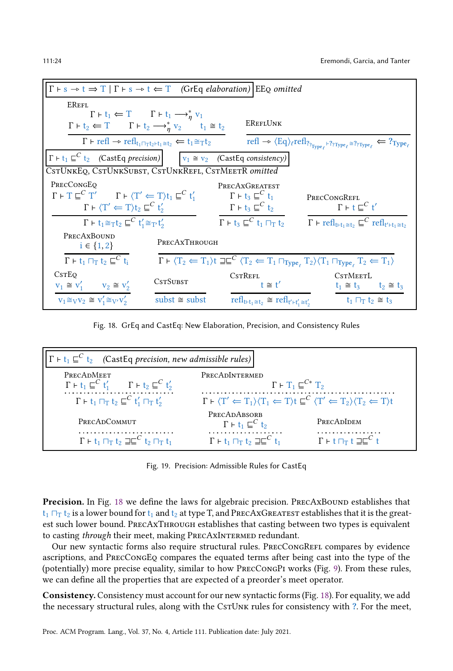<span id="page-23-0"></span>

| $\Gamma \vdash s \rightarrow t \Rightarrow T   \Gamma \vdash s \rightarrow t \Leftarrow T$ (GrEq elaboration) EEQ omitted |                                                                                                                                          |                                                                           |                                                                                                                                                                                              |  |  |
|---------------------------------------------------------------------------------------------------------------------------|------------------------------------------------------------------------------------------------------------------------------------------|---------------------------------------------------------------------------|----------------------------------------------------------------------------------------------------------------------------------------------------------------------------------------------|--|--|
| <b>EREFL</b>                                                                                                              |                                                                                                                                          |                                                                           |                                                                                                                                                                                              |  |  |
| $\Gamma \vdash t_2 \Leftarrow T$ $\Gamma \vdash t_2 \longrightarrow_n^* v_2$ $t_1 \cong t_2$                              | $\Gamma \vdash t_1 \Leftarrow T$ $\Gamma \vdash t_1 \longrightarrow_n^* v_1$                                                             | <b>EREFLUNK</b>                                                           |                                                                                                                                                                                              |  |  |
|                                                                                                                           | $\Gamma \vdash \text{refl} \rightarrow \text{refl}_{t_1 \sqcap_{\text{T}} t_2 \vdash t_1 \cong t_2} \Leftarrow t_1 \cong_{\text{T}} t_2$ |                                                                           | $\text{refl} \rightarrow \langle \text{Eq} \rangle_{\ell} \text{refl}_{?_{\text{Type}_\ell} \vdash ?_{? \text{Type}_\ell} \cong ?_{? \text{Type}_\ell}} \Leftarrow ?_{\text{Type}_\ell}$     |  |  |
| $\Gamma \vdash t_1 \sqsubseteq^C t_2$ (CastEq precision) $v_1 \cong v_2$ (CastEq consistency)                             |                                                                                                                                          |                                                                           |                                                                                                                                                                                              |  |  |
| CSTUNKEQ, CSTUNKSUBST, CSTUNKREFL, CSTMEETR omitted                                                                       |                                                                                                                                          |                                                                           |                                                                                                                                                                                              |  |  |
| PRECCONGEQ<br>$\Gamma \vdash T \sqsubseteq^C T'$ $\Gamma \vdash \langle T' \Leftarrow T \rangle t_1 \sqsubseteq^C t_1'$   |                                                                                                                                          | PRECAXGREATEST<br>$\Gamma \vdash \mathrm{t}_3 \sqsubseteq^C \mathrm{t}_1$ | PRECCONGREFL                                                                                                                                                                                 |  |  |
| $\Gamma \vdash \langle T' \Leftarrow T \rangle t_2 \sqsubseteq^C t'_2$                                                    |                                                                                                                                          | $\Gamma \vdash t_3 \sqsubseteq^C t_2$                                     | $\Gamma$ + t $\sqsubseteq^C$ t'                                                                                                                                                              |  |  |
| $\Gamma$ + $t_1 \cong_T t_2 \sqsubseteq^C t'_1 \cong_T t'_2$                                                              |                                                                                                                                          |                                                                           | $\Gamma \vdash t_3 \sqsubseteq^C t_1 \sqcap_{\tau} t_2 \qquad \Gamma \vdash \text{refl}_{t \vdash t_1 \cong t_2} \sqsubseteq^C \text{refl}_{t' \vdash t_1 \cong t_2}$                        |  |  |
| PRECAXBOUND<br>$i \in \{1, 2\}$                                                                                           | PRECAXTHROUGH                                                                                                                            |                                                                           |                                                                                                                                                                                              |  |  |
| $\Gamma$ + $t_1$ $\Box$ $\Gamma$ $t_2$ $\sqsubseteq$ <sup>C</sup> $t_i$                                                   |                                                                                                                                          |                                                                           | $\Gamma \vdash \langle T_2 \leftarrow T_1 \rangle t \sqsupseteq \sqsubseteq^C \langle T_2 \leftarrow T_1 \sqcap_{Type_e} T_2 \rangle \langle T_1 \sqcap_{Type_e} T_2 \leftarrow T_1 \rangle$ |  |  |
| CstEo                                                                                                                     | <b>CSTSUBST</b>                                                                                                                          | <b>CSTREFL</b>                                                            | <b>CSTMEETL</b>                                                                                                                                                                              |  |  |
| $v_1 \cong v'_1$ $v_2 \cong v'_2$                                                                                         |                                                                                                                                          | $t \approx t'$                                                            | $t_1 \cong t_3$ $t_2 \cong t_3$                                                                                                                                                              |  |  |
| $v_1 \cong_V v_2 \cong v_1' \cong_V v_2'$                                                                                 | $subst \cong subst$                                                                                                                      | $refl_{t+t_1 \cong t_2} \cong refl_{t'+t'_1 \cong t'_2}$                  | $t_1 \Box T$ $t_2 \cong t_3$                                                                                                                                                                 |  |  |

Fig. 18. GrEq and CastEq: New Elaboration, Precision, and Consistency Rules

| $ \Gamma \vdash t_1 \sqsubseteq^C t_2$ (CastEq precision, new admissible rules)       |                                                                                                                                                                         |                                                                  |  |  |
|---------------------------------------------------------------------------------------|-------------------------------------------------------------------------------------------------------------------------------------------------------------------------|------------------------------------------------------------------|--|--|
| PRECADMEET<br>$\Gamma$ + $t_1 \sqsubseteq^C t'_1$ $\Gamma$ + $t_2 \sqsubseteq^C t'_2$ | PRECADINTERMED<br>$\Gamma \vdash T_1 \sqsubseteq^{C*} T_2$                                                                                                              |                                                                  |  |  |
| $\Gamma \vdash t_1 \sqcap_T t_2 \sqsubseteq^C t'_1 \sqcap_T t'_2$                     | $\Gamma \vdash \langle T' \leftarrow T_1 \rangle \langle T_1 \leftarrow T \rangle t \sqsubseteq^C \langle T' \leftarrow T_2 \rangle \langle T_2 \leftarrow T \rangle t$ |                                                                  |  |  |
| PRECADCOMMUT                                                                          | PRECADABSORB<br>$\Gamma \vdash t_1 \sqsubseteq^C t_2$                                                                                                                   | PRECADIDEM                                                       |  |  |
| $\Gamma \vdash t_1 \sqcap_T t_2 \sqsupseteq \sqsubseteq^C t_2 \sqcap_T t_1$           | $\Gamma$ + $t_1$ $\Box$ $\Gamma$ $t_2$ $\Box$ $\Box$ $\Box$ $\Gamma$ $t_1$                                                                                              | $\Gamma$ + t $\sqcap_{\Gamma}$ t $\sqsupseteq \sqsubseteq^{C}$ t |  |  |

Fig. 19. Precision: Admissible Rules for CastEq

Precision. In Fig. [18](#page-23-0) we define the laws for algebraic precision. PRECAxBOUND establishes that  $t_1$   $\Box$ <sub>T</sub>  $t_2$  is a lower bound for  $t_1$  and  $t_2$  at type T, and PRECAxGREATEST establishes that it is the greatest such lower bound. PrecAxThrough establishes that casting between two types is equivalent to casting through their meet, making PRECAXINTERMED redundant.

Our new syntactic forms also require structural rules. PRECCONGREFL compares by evidence ascriptions, and PrecCongEq compares the equated terms after being cast into the type of the (potentially) more precise equality, similar to how PrecCongPi works (Fig. [9\)](#page-14-1). From these rules, we can define all the properties that are expected of a preorder's meet operator.

Consistency. Consistency must account for our new syntactic forms (Fig. [18\)](#page-23-0). For equality, we add the necessary structural rules, along with the CsTUNK rules for consistency with ?. For the meet,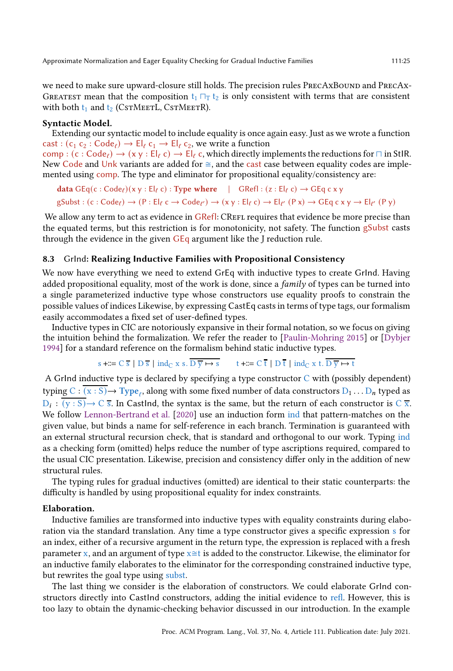we need to make sure upward-closure still holds. The precision rules PRECAXBOUND and PRECAX-GREATEST mean that the composition  $t_1 \sqcap_T t_2$  is only consistent with terms that are consistent with both  $t_1$  and  $t_2$  (CstMeetL, CstMeetR).

#### Syntactic Model.

Extending our syntactic model to include equality is once again easy. Just as we wrote a function cast :  $(c_1 c_2 : Code_\ell) \to El_\ell c_1 \to El_\ell c_2$ , we write a function

comp :  $(c : Code_\ell) \to (x y : El_\ell c) \to El_\ell c$ , which directly implements the reductions for  $\sqcap$  in StIR. New Code and Unk variants are added for  $\cong$ , and the cast case between equality codes are implemented using comp. The type and eliminator for propositional equality/consistency are:

data  $GEq(c:Code_\ell)(x \, y : El_\ell c) : Type$  where  $| GRef| : (z : El_\ell c) \rightarrow GEq$  c x y  $\text{gSubst}: (\text{c}: \text{Code}_{\ell}) \to (\text{P}: \text{El}_{\ell} \text{ c} \to \text{Code}_{\ell'}) \to (\text{x} \text{ y}: \text{El}_{\ell} \text{ c}) \to \text{El}_{\ell'} (\text{P} \text{ x}) \to \text{GEq} \text{ c} \text{ x } \text{ y} \to \text{El}_{\ell'} (\text{P} \text{ y})$ 

We allow any term to act as evidence in GRefl: CREFL requires that evidence be more precise than the equated terms, but this restriction is for monotonicity, not safety. The function gSubst casts through the evidence in the given  $GEq$  argument like the J reduction rule.

## <span id="page-24-0"></span>8.3 GrInd: Realizing Inductive Families with Propositional Consistency

We now have everything we need to extend GrEq with inductive types to create GrInd. Having added propositional equality, most of the work is done, since a *family* of types can be turned into a single parameterized inductive type whose constructors use equality proofs to constrain the possible values of indices Likewise, by expressing CastEq casts in terms of type tags, our formalism easily accommodates a fixed set of user-defined types.

Inductive types in CIC are notoriously expansive in their formal notation, so we focus on giving the intuition behind the formalization. We refer the reader to [\[Paulin-Mohring 2015\]](#page-27-8) or [\[Dybjer](#page-27-14) [1994](#page-27-14)] for a standard reference on the formalism behind static inductive types.

$$
s + \mathbb{I} = C \overline{s} \mid D \overline{s} \mid \text{ind}_{C} x s. \overline{D \overline{y} \mapsto s} \qquad t + \mathbb{I} = C \overline{t} \mid D \overline{t} \mid \text{ind}_{C} x t. \overline{D \overline{y} \mapsto t}
$$

A GrInd inductive type is declared by specifying a type constructor  $C$  with (possibly dependent) typing  $C : (x : S) \to Type_{\ell}$ , along with some fixed number of data constructors  $D_1 \dots D_n$  typed as  $D_i : (y : S) \to C$  s. In CastInd, the syntax is the same, but the return of each constructor is C x. We follow [Lennon-Bertrand et al.](#page-27-5) [\[2020\]](#page-27-5) use an induction form ind that pattern-matches on the given value, but binds a name for self-reference in each branch. Termination is guaranteed with an external structural recursion check, that is standard and orthogonal to our work. Typing ind as a checking form (omitted) helps reduce the number of type ascriptions required, compared to the usual CIC presentation. Likewise, precision and consistency differ only in the addition of new structural rules.

The typing rules for gradual inductives (omitted) are identical to their static counterparts: the difficulty is handled by using propositional equality for index constraints.

## Elaboration.

Inductive families are transformed into inductive types with equality constraints during elaboration via the standard translation. Any time a type constructor gives a specific expression s for an index, either of a recursive argument in the return type, the expression is replaced with a fresh parameter x, and an argument of type  $x \approx t$  is added to the constructor. Likewise, the eliminator for an inductive family elaborates to the eliminator for the corresponding constrained inductive type, but rewrites the goal type using subst.

The last thing we consider is the elaboration of constructors. We could elaborate GrInd constructors directly into CastInd constructors, adding the initial evidence to refl. However, this is too lazy to obtain the dynamic-checking behavior discussed in our introduction. In the example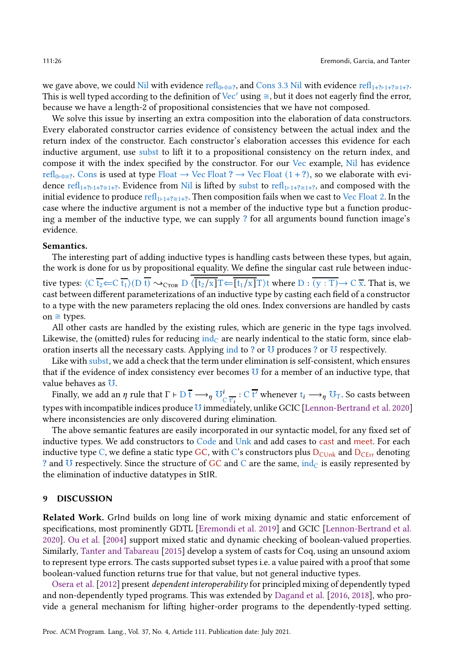we gave above, we could Nil with evidence refl<sub>0⊩0≅?</sub>, and Cons 3.3 Nil with evidence refl<sub>1+?⊢1+?≅1+?</sub>. This is well typed according to the definition of Vec' using  $\cong$ , but it does not eagerly find the error, because we have a length-2 of propositional consistencies that we have not composed.

We solve this issue by inserting an extra composition into the elaboration of data constructors. Every elaborated constructor carries evidence of consistency between the actual index and the return index of the constructor. Each constructor's elaboration accesses this evidence for each inductive argument, use subst to lift it to a propositional consistency on the return index, and compose it with the index specified by the constructor. For our Vec example, Nil has evidence refl<sub>0⊦0≅?</sub>. Cons is used at type Float  $\rightarrow$  Vec Float ?  $\rightarrow$  Vec Float (1+?), so we elaborate with evidence refl<sub>1+?⊢1+?</sup>≥1+?. Evidence from Nil is lifted by subst to refl<sub>1+1+?≥1+?</sub>, and composed with the</sub> initial evidence to produce refl<sub>1⊦1+?</sub> $\equiv$ <sub>1+?</sub>. Then composition fails when we cast to Vec Float 2. In the case where the inductive argument is not a member of the inductive type but a function producing a member of the inductive type, we can supply ? for all arguments bound function image's evidence.

#### Semantics.

The interesting part of adding inductive types is handling casts between these types, but again, the work is done for us by propositional equality. We define the singular cast rule between inductive types:  $\langle C \overline{t_2} \leftarrow C \overline{t_1} \rangle(D \overline{t}) \rightsquigarrow_{CTOR} D \langle \overline{[t_2/x]}T \leftarrow \overline{[t_1/x]}T \rangle t$  where  $D : \overline{(y : T)} \rightarrow C \overline{x}$ . That is, we cast between different parameterizations of an inductive type by casting each field of a constructor to a type with the new parameters replacing the old ones. Index conversions are handled by casts on  $\cong$  types.

All other casts are handled by the existing rules, which are generic in the type tags involved. Likewise, the (omitted) rules for reducing  $ind_C$  are nearly indentical to the static form, since elaboration inserts all the necessary casts. Applying ind to ? or  $U$  produces ? or  $U$  respectively.

Like with subst, we add a check that the term under elimination is self-consistent, which ensures that if the evidence of index consistency ever becomes  $U$  for a member of an inductive type, that value behaves as ℧.

Finally, we add an  $\eta$  rule that  $\Gamma \vdash D$   $\overline{t} \longrightarrow_{\eta} U_{\Gamma}' : C$   $\overline{t'}$  whenever  $t_i \longrightarrow_{\eta} U_{\Gamma}$ . So casts between types with incompatible indices produce  $U$  immediately, unlike GCIC [\[Lennon-Bertrand et al. 2020\]](#page-27-5) where inconsistencies are only discovered during elimination.

The above semantic features are easily incorporated in our syntactic model, for any fixed set of inductive types. We add constructors to Code and Unk and add cases to cast and meet. For each inductive type C, we define a static type GC, with C's constructors plus  $D_{\text{C}Unk}$  and  $D_{\text{C}Err}$  denoting ? and  $U$  respectively. Since the structure of GC and C are the same,  $ind_C$  is easily represented by the elimination of inductive datatypes in StIR.

#### 9 DISCUSSION

Related Work. GrInd builds on long line of work mixing dynamic and static enforcement of specifications, most prominently GDTL [\[Eremondi et al. 2019\]](#page-27-4) and GCIC [\[Lennon-Bertrand et al.](#page-27-5) [2020\]](#page-27-5). [Ou et al.](#page-27-15) [\[2004\]](#page-27-15) support mixed static and dynamic checking of boolean-valued properties. Similarly, [Tanter and Tabareau](#page-28-0) [\[2015](#page-28-0)] develop a system of casts for Coq, using an unsound axiom to represent type errors. The casts supported subset types i.e. a value paired with a proof that some boolean-valued function returns true for that value, but not general inductive types.

[Osera et al.](#page-27-16) [\[2012\]](#page-27-16) present dependent interoperability for principled mixing of dependently typed and non-dependently typed programs. This was extended by [Dagand et al.](#page-27-17) [\[2016,](#page-27-17) [2018](#page-27-18)], who provide a general mechanism for lifting higher-order programs to the dependently-typed setting.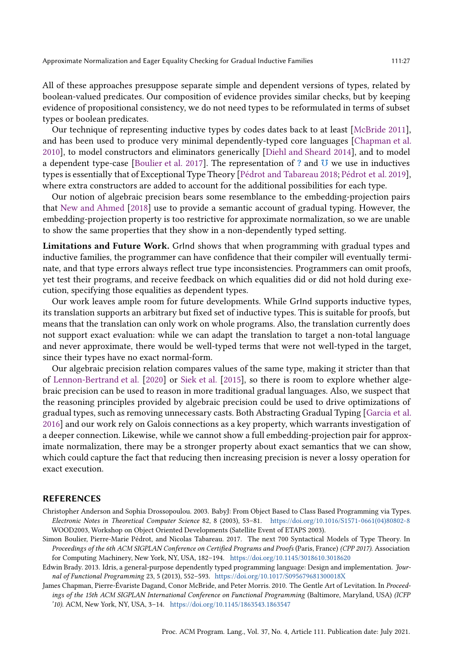All of these approaches presuppose separate simple and dependent versions of types, related by boolean-valued predicates. Our composition of evidence provides similar checks, but by keeping evidence of propositional consistency, we do not need types to be reformulated in terms of subset types or boolean predicates.

Our technique of representing inductive types by codes dates back to at least [\[McBride 2011\]](#page-27-19), and has been used to produce very minimal dependently-typed core languages [\[Chapman et al.](#page-26-2) [2010\]](#page-26-2), to model constructors and eliminators generically [\[Diehl and Sheard 2014\]](#page-27-20), and to model a dependent type-case [Boulier et al. 2017]. The representation of ? and  $U$  we use in inductives types is essentially that of Exceptional Type Theory [\[Pédrot and Tabareau 2018;](#page-27-21) [Pédrot et al. 2019\]](#page-27-22), where extra constructors are added to account for the additional possibilities for each type.

Our notion of algebraic precision bears some resemblance to the embedding-projection pairs that New and Ahmed [2018] use to provide a semantic account of gradual typing. However, the embedding-projection property is too restrictive for approximate normalization, so we are unable to show the same properties that they show in a non-dependently typed setting.

Limitations and Future Work. GrInd shows that when programming with gradual types and inductive families, the programmer can have confidence that their compiler will eventually terminate, and that type errors always reflect true type inconsistencies. Programmers can omit proofs, yet test their programs, and receive feedback on which equalities did or did not hold during execution, specifying those equalities as dependent types.

Our work leaves ample room for future developments. While GrInd supports inductive types, its translation supports an arbitrary but fixed set of inductive types. This is suitable for proofs, but means that the translation can only work on whole programs. Also, the translation currently does not support exact evaluation: while we can adapt the translation to target a non-total language and never approximate, there would be well-typed terms that were not well-typed in the target, since their types have no exact normal-form.

Our algebraic precision relation compares values of the same type, making it stricter than that of [Lennon-Bertrand et al.](#page-27-5) [\[2020\]](#page-27-5) or [Siek et al.](#page-27-3) [\[2015\]](#page-27-3), so there is room to explore whether algebraic precision can be used to reason in more traditional gradual languages. Also, we suspect that the reasoning principles provided by algebraic precision could be used to drive optimizations of gradual types, such as removing unnecessary casts. Both Abstracting Gradual Typing [\[Garcia et al.](#page-27-6) [2016\]](#page-27-6) and our work rely on Galois connections as a key property, which warrants investigation of a deeper connection. Likewise, while we cannot show a full embedding-projection pair for approximate normalization, there may be a stronger property about exact semantics that we can show, which could capture the fact that reducing then increasing precision is never a lossy operation for exact execution.

#### REFERENCES

- <span id="page-26-1"></span>Christopher Anderson and Sophia Drossopoulou. 2003. BabyJ: From Object Based to Class Based Programming via Types. Electronic Notes in Theoretical Computer Science 82, 8 (2003), 53–81. [https://doi.org/10.1016/S1571-0661\(04\)80802-8](https://doi.org/10.1016/S1571-0661(04)80802-8) WOOD2003, Workshop on Object Oriented Developments (Satellite Event of ETAPS 2003).
- Simon Boulier, Pierre-Marie Pédrot, and Nicolas Tabareau. 2017. The next 700 Syntactical Models of Type Theory. In Proceedings of the 6th ACM SIGPLAN Conference on Certified Programs and Proofs (Paris, France) (CPP 2017). Association for Computing Machinery, New York, NY, USA, 182–194. <https://doi.org/10.1145/3018610.3018620>
- <span id="page-26-0"></span>Edwin Brady. 2013. Idris, a general-purpose dependently typed programming language: Design and implementation. Journal of Functional Programming 23, 5 (2013), 552–593. <https://doi.org/10.1017/S095679681300018X>
- <span id="page-26-2"></span>James Chapman, Pierre-Évariste Dagand, Conor McBride, and Peter Morris. 2010. The Gentle Art of Levitation. In Proceedings of the 15th ACM SIGPLAN International Conference on Functional Programming (Baltimore, Maryland, USA) (ICFP '10). ACM, New York, NY, USA, 3–14. <https://doi.org/10.1145/1863543.1863547>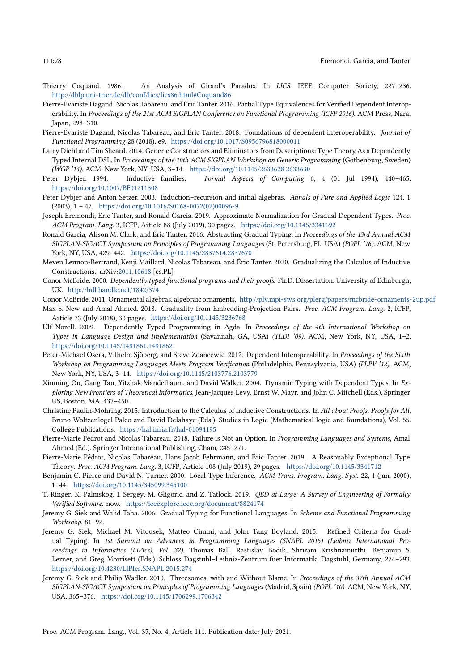- <span id="page-27-12"></span><span id="page-27-0"></span>Thierry Coquand. 1986. An Analysis of Girard's Paradox. In LICS. IEEE Computer Society, 227–236. <http://dblp.uni-trier.de/db/conf/lics/lics86.html#Coquand86>
- <span id="page-27-17"></span>Pierre-Évariste Dagand, Nicolas Tabareau, and Éric Tanter. 2016. Partial Type Equivalences for Verified Dependent Interoperability. In Proceedings of the 21st ACM SIGPLAN Conference on Functional Programming (ICFP 2016). ACM Press, Nara, Japan, 298–310.
- <span id="page-27-18"></span>Pierre-Évariste Dagand, Nicolas Tabareau, and Éric Tanter. 2018. Foundations of dependent interoperability. Journal of Functional Programming 28 (2018), e9. <https://doi.org/10.1017/S0956796818000011>
- <span id="page-27-20"></span>Larry Diehl and Tim Sheard. 2014. Generic Constructors and Eliminatorsfrom Descriptions: Type Theory As a Dependently Typed Internal DSL. In Proceedings of the 10th ACM SIGPLAN Workshop on Generic Programming (Gothenburg, Sweden) (WGP '14). ACM, New York, NY, USA, 3–14. <https://doi.org/10.1145/2633628.2633630>
- <span id="page-27-14"></span>Peter Dybjer. 1994. Inductive families. Formal Aspects of Computing 6, 4 (01 Jul 1994), 440–465. <https://doi.org/10.1007/BF01211308>
- <span id="page-27-9"></span>Peter Dybjer and Anton Setzer. 2003. Induction–recursion and initial algebras. Annals of Pure and Applied Logic 124, 1 (2003), 1 – 47. [https://doi.org/10.1016/S0168-0072\(02\)00096-9](https://doi.org/10.1016/S0168-0072(02)00096-9)
- <span id="page-27-4"></span>Joseph Eremondi, Éric Tanter, and Ronald Garcia. 2019. Approximate Normalization for Gradual Dependent Types. Proc. ACM Program. Lang. 3, ICFP, Article 88 (July 2019), 30 pages. <https://doi.org/10.1145/3341692>
- <span id="page-27-6"></span>Ronald Garcia, Alison M. Clark, and Éric Tanter. 2016. Abstracting Gradual Typing. In Proceedings of the 43rd Annual ACM SIGPLAN-SIGACT Symposium on Principles of Programming Languages (St. Petersburg, FL, USA) (POPL '16). ACM, New York, NY, USA, 429–442. <https://doi.org/10.1145/2837614.2837670>
- <span id="page-27-5"></span>Meven Lennon-Bertrand, Kenji Maillard, Nicolas Tabareau, and Éric Tanter. 2020. Gradualizing the Calculus of Inductive Constructions. arXiv[:2011.10618](https://arxiv.org/abs/2011.10618) [cs.PL]
- <span id="page-27-13"></span>Conor McBride. 2000. Dependently typed functional programs and their proofs. Ph.D. Dissertation. University of Edinburgh, UK. <http://hdl.handle.net/1842/374>
- <span id="page-27-19"></span>Conor McBride. 2011. Ornamental algebras, algebraic ornaments. <http://plv.mpi-sws.org/plerg/papers/mcbride-ornaments-2up.pdf>
- Max S. New and Amal Ahmed. 2018. Graduality from Embedding-Projection Pairs. Proc. ACM Program. Lang. 2, ICFP, Article 73 (July 2018), 30 pages. <https://doi.org/10.1145/3236768>
- <span id="page-27-10"></span>Ulf Norell. 2009. Dependently Typed Programming in Agda. In Proceedings of the 4th International Workshop on Types in Language Design and Implementation (Savannah, GA, USA) (TLDI '09). ACM, New York, NY, USA, 1–2. <https://doi.org/10.1145/1481861.1481862>
- <span id="page-27-16"></span>Peter-Michael Osera, Vilhelm Sjöberg, and Steve Zdancewic. 2012. Dependent Interoperability. In Proceedings of the Sixth Workshop on Programming Languages Meets Program Verification (Philadelphia, Pennsylvania, USA) (PLPV '12). ACM, New York, NY, USA, 3–14. <https://doi.org/10.1145/2103776.2103779>
- <span id="page-27-15"></span>Xinming Ou, Gang Tan, Yitzhak Mandelbaum, and David Walker. 2004. Dynamic Typing with Dependent Types. In Exploring New Frontiers of Theoretical Informatics, Jean-Jacques Levy, Ernst W. Mayr, and John C. Mitchell (Eds.). Springer US, Boston, MA, 437–450.
- <span id="page-27-8"></span>Christine Paulin-Mohring. 2015. Introduction to the Calculus of Inductive Constructions. In All about Proofs, Proofs for All, Bruno Woltzenlogel Paleo and David Delahaye (Eds.). Studies in Logic (Mathematical logic and foundations), Vol. 55. College Publications. <https://hal.inria.fr/hal-01094195>
- <span id="page-27-21"></span>Pierre-Marie Pédrot and Nicolas Tabareau. 2018. Failure is Not an Option. In Programming Languages and Systems, Amal Ahmed (Ed.). Springer International Publishing, Cham, 245–271.
- <span id="page-27-22"></span>Pierre-Marie Pédrot, Nicolas Tabareau, Hans Jacob Fehrmann, and Éric Tanter. 2019. A Reasonably Exceptional Type Theory. Proc. ACM Program. Lang. 3, ICFP, Article 108 (July 2019), 29 pages. <https://doi.org/10.1145/3341712>
- <span id="page-27-11"></span>Benjamin C. Pierce and David N. Turner. 2000. Local Type Inference. ACM Trans. Program. Lang. Syst. 22, 1 (Jan. 2000), 1–44. <https://doi.org/10.1145/345099.345100>
- <span id="page-27-1"></span>T. Ringer, K. Palmskog, I. Sergey, M. Gligoric, and Z. Tatlock. 2019. QED at Large: A Survey of Engineering of Formally Verified Software. now. <https://ieeexplore.ieee.org/document/8824174>
- <span id="page-27-2"></span>Jeremy G. Siek and Walid Taha. 2006. Gradual Typing for Functional Languages. In Scheme and Functional Programming Workshop. 81–92.
- <span id="page-27-3"></span>Jeremy G. Siek, Michael M. Vitousek, Matteo Cimini, and John Tang Boyland. 2015. Refined Criteria for Gradual Typing. In 1st Summit on Advances in Programming Languages (SNAPL 2015) (Leibniz International Proceedings in Informatics (LIPIcs), Vol. 32), Thomas Ball, Rastislav Bodik, Shriram Krishnamurthi, Benjamin S. Lerner, and Greg Morrisett (Eds.). Schloss Dagstuhl–Leibniz-Zentrum fuer Informatik, Dagstuhl, Germany, 274–293. <https://doi.org/10.4230/LIPIcs.SNAPL.2015.274>
- <span id="page-27-7"></span>Jeremy G. Siek and Philip Wadler. 2010. Threesomes, with and Without Blame. In Proceedings of the 37th Annual ACM SIGPLAN-SIGACT Symposium on Principles of Programming Languages (Madrid, Spain) (POPL '10). ACM, New York, NY, USA, 365–376. <https://doi.org/10.1145/1706299.1706342>